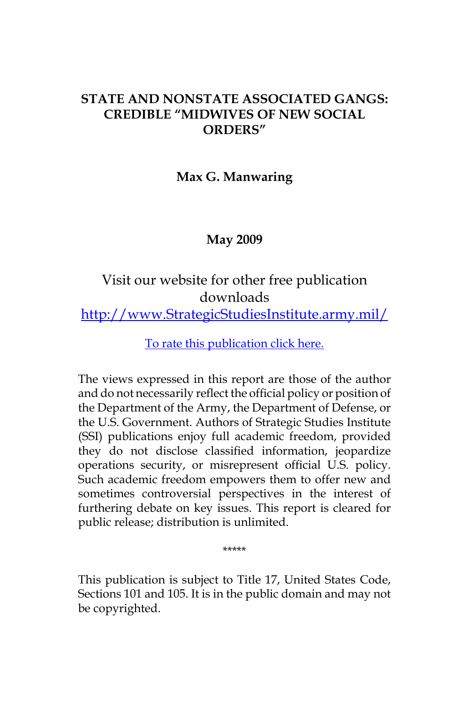## **STATE AND NONSTATE ASSOCIATED GANGS: CREDIBLE "MIDWIVES OF NEW SOCIAL ORDERS"**

#### **Max G. Manwaring**

#### **May 2009**

# Visit our website for other free publication downloads

[http://www.StrategicStudiesInstitute.army.mil/](http://www.StrategicStudiesInstitute.army.mil)

[To rate this publication click here.](http://www.strategicstudiesinstitute.army.mil/pubs/display.cfm?pubID=876)

The views expressed in this report are those of the author and do not necessarily reflect the official policy or position of the Department of the Army, the Department of Defense, or the U.S. Government. Authors of Strategic Studies Institute (SSI) publications enjoy full academic freedom, provided they do not disclose classified information, jeopardize operations security, or misrepresent official U.S. policy. Such academic freedom empowers them to offer new and sometimes controversial perspectives in the interest of furthering debate on key issues. This report is cleared for public release; distribution is unlimited.

\*\*\*\*\*

This publication is subject to Title 17, United States Code, Sections 101 and 105. It is in the public domain and may not be copyrighted.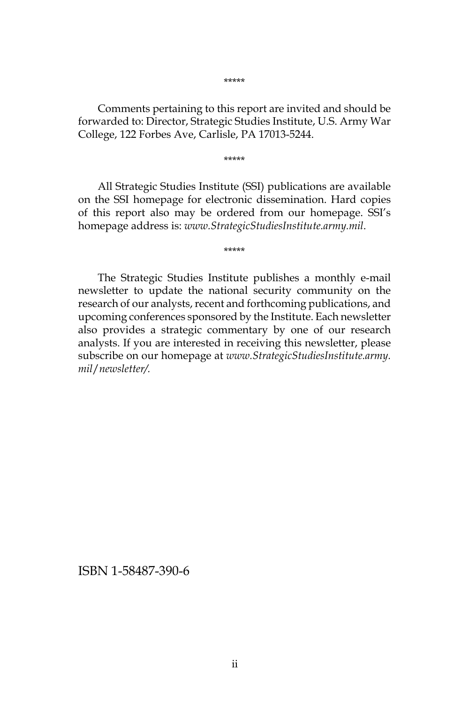Comments pertaining to this report are invited and should be forwarded to: Director, Strategic Studies Institute, U.S. Army War College, 122 Forbes Ave, Carlisle, PA 17013-5244.

\*\*\*\*\*

All Strategic Studies Institute (SSI) publications are available on the SSI homepage for electronic dissemination. Hard copies of this report also may be ordered from our homepage. SSI's homepage address is: *www.StrategicStudiesInstitute.army.mil*.

\*\*\*\*\*

The Strategic Studies Institute publishes a monthly e-mail newsletter to update the national security community on the research of our analysts, recent and forthcoming publications, and upcoming conferences sponsored by the Institute. Each newsletter also provides a strategic commentary by one of our research analysts. If you are interested in receiving this newsletter, please subscribe on our homepage at *www.StrategicStudiesInstitute.army. mil*/*newsletter/.*

ISBN 1-58487-390-6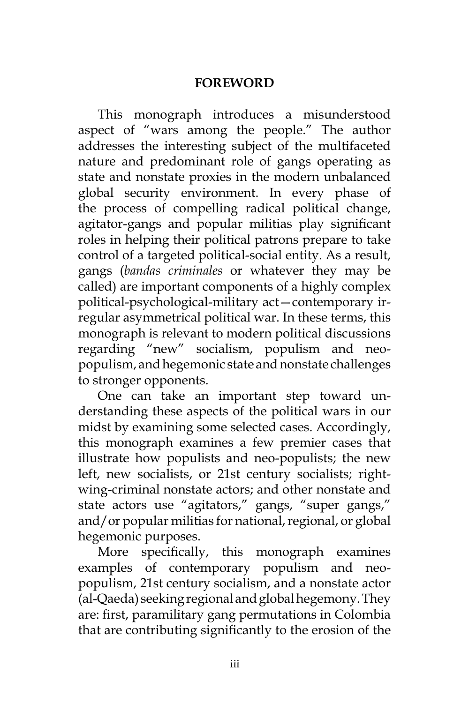#### **FOREWORD**

This monograph introduces a misunderstood aspect of "wars among the people." The author addresses the interesting subject of the multifaceted nature and predominant role of gangs operating as state and nonstate proxies in the modern unbalanced global security environment. In every phase of the process of compelling radical political change, agitator-gangs and popular militias play significant roles in helping their political patrons prepare to take control of a targeted political-social entity. As a result, gangs (*bandas criminales* or whatever they may be called) are important components of a highly complex political-psychological-military act—contemporary irregular asymmetrical political war. In these terms, this monograph is relevant to modern political discussions regarding "new" socialism, populism and neopopulism, and hegemonic state and nonstate challenges to stronger opponents.

One can take an important step toward understanding these aspects of the political wars in our midst by examining some selected cases. Accordingly, this monograph examines a few premier cases that illustrate how populists and neo-populists; the new left, new socialists, or 21st century socialists; rightwing-criminal nonstate actors; and other nonstate and state actors use "agitators," gangs, "super gangs," and/or popular militias for national, regional, or global hegemonic purposes.

More specifically, this monograph examines examples of contemporary populism and neopopulism, 21st century socialism, and a nonstate actor (al-Qaeda) seeking regional and global hegemony. They are: first, paramilitary gang permutations in Colombia that are contributing significantly to the erosion of the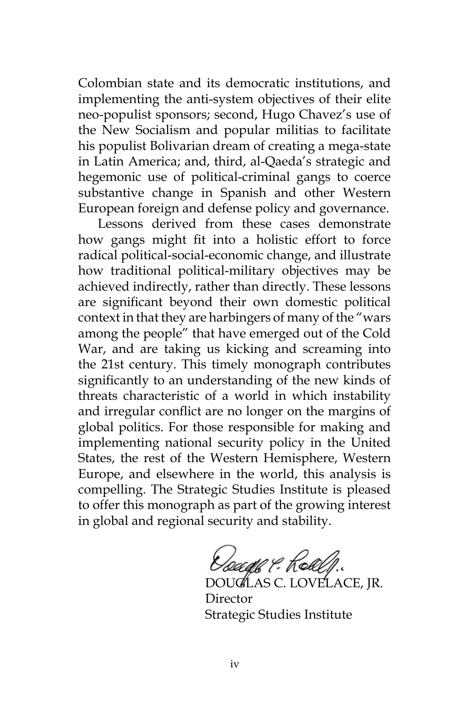Colombian state and its democratic institutions, and implementing the anti-system objectives of their elite neo-populist sponsors; second, Hugo Chavez's use of the New Socialism and popular militias to facilitate his populist Bolivarian dream of creating a mega-state in Latin America; and, third, al-Qaeda's strategic and hegemonic use of political-criminal gangs to coerce substantive change in Spanish and other Western European foreign and defense policy and governance.

Lessons derived from these cases demonstrate how gangs might fit into a holistic effort to force radical political-social-economic change, and illustrate how traditional political-military objectives may be achieved indirectly, rather than directly. These lessons are significant beyond their own domestic political context in that they are harbingers of many of the "wars among the people" that have emerged out of the Cold War, and are taking us kicking and screaming into the 21st century. This timely monograph contributes significantly to an understanding of the new kinds of threats characteristic of a world in which instability and irregular conflict are no longer on the margins of global politics. For those responsible for making and implementing national security policy in the United States, the rest of the Western Hemisphere, Western Europe, and elsewhere in the world, this analysis is compelling. The Strategic Studies Institute is pleased to offer this monograph as part of the growing interest in global and regional security and stability.

Keage & Real

DOUGLAS C. LOVELACE, JR. Director Strategic Studies Institute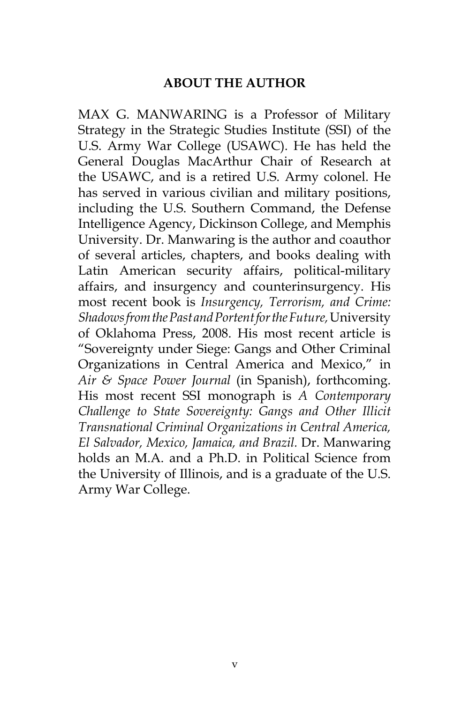#### **ABOUT THE AUTHOR**

MAX G. MANWARING is a Professor of Military Strategy in the Strategic Studies Institute (SSI) of the U.S. Army War College (USAWC). He has held the General Douglas MacArthur Chair of Research at the USAWC, and is a retired U.S. Army colonel. He has served in various civilian and military positions, including the U.S. Southern Command, the Defense Intelligence Agency, Dickinson College, and Memphis University. Dr. Manwaring is the author and coauthor of several articles, chapters, and books dealing with Latin American security affairs, political-military affairs, and insurgency and counterinsurgency. His most recent book is *Insurgency, Terrorism, and Crime: Shadows from the Past and Portent for the Future,* University of Oklahoma Press, 2008. His most recent article is "Sovereignty under Siege: Gangs and Other Criminal Organizations in Central America and Mexico," in *Air & Space Power Journal* (in Spanish), forthcoming. His most recent SSI monograph is *A Contemporary Challenge to State Sovereignty: Gangs and Other Illicit Transnational Criminal Organizations in Central America, El Salvador, Mexico, Jamaica, and Brazil.* Dr. Manwaring holds an M.A. and a Ph.D. in Political Science from the University of Illinois, and is a graduate of the U.S. Army War College.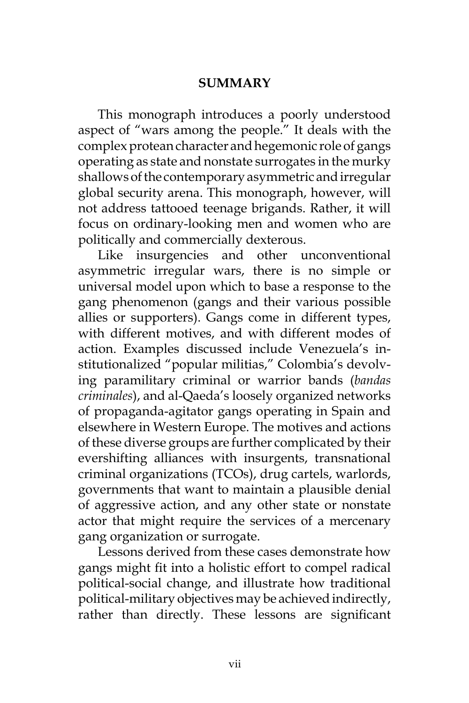#### **SUMMARY**

This monograph introduces a poorly understood aspect of "wars among the people." It deals with the complex protean character and hegemonic role of gangs operating as state and nonstate surrogates in the murky shallows of the contemporary asymmetric and irregular global security arena. This monograph, however, will not address tattooed teenage brigands. Rather, it will focus on ordinary-looking men and women who are politically and commercially dexterous.

Like insurgencies and other unconventional asymmetric irregular wars, there is no simple or universal model upon which to base a response to the gang phenomenon (gangs and their various possible allies or supporters). Gangs come in different types, with different motives, and with different modes of action. Examples discussed include Venezuela's institutionalized "popular militias," Colombia's devolving paramilitary criminal or warrior bands (*bandas criminales*), and al-Qaeda's loosely organized networks of propaganda-agitator gangs operating in Spain and elsewhere in Western Europe. The motives and actions of these diverse groups are further complicated by their evershifting alliances with insurgents, transnational criminal organizations (TCOs), drug cartels, warlords, governments that want to maintain a plausible denial of aggressive action, and any other state or nonstate actor that might require the services of a mercenary gang organization or surrogate.

Lessons derived from these cases demonstrate how gangs might fit into a holistic effort to compel radical political-social change, and illustrate how traditional political-military objectives may be achieved indirectly, rather than directly. These lessons are significant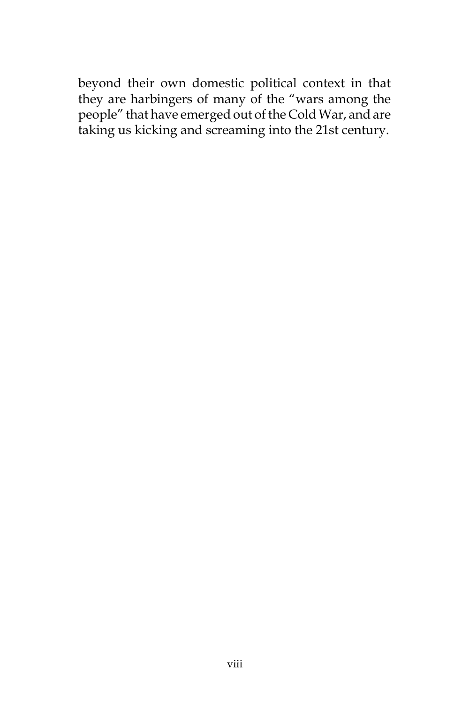beyond their own domestic political context in that they are harbingers of many of the "wars among the people" that have emerged out of the Cold War, and are taking us kicking and screaming into the 21st century.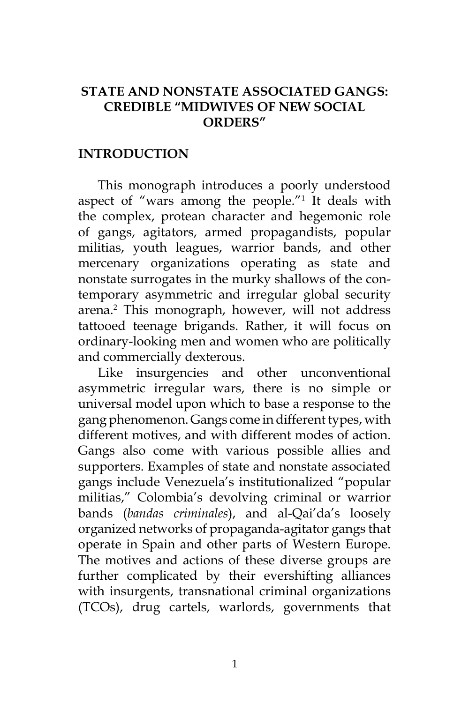## **STATE AND NONSTATE ASSOCIATED GANGS: CREDIBLE "MIDWIVES OF NEW SOCIAL ORDERS"**

#### **INTRODUCTION**

This monograph introduces a poorly understood aspect of "wars among the people."1 It deals with the complex, protean character and hegemonic role of gangs, agitators, armed propagandists, popular militias, youth leagues, warrior bands, and other mercenary organizations operating as state and nonstate surrogates in the murky shallows of the contemporary asymmetric and irregular global security arena.2 This monograph, however, will not address tattooed teenage brigands. Rather, it will focus on ordinary-looking men and women who are politically and commercially dexterous.

Like insurgencies and other unconventional asymmetric irregular wars, there is no simple or universal model upon which to base a response to the gang phenomenon. Gangs come in different types, with different motives, and with different modes of action. Gangs also come with various possible allies and supporters. Examples of state and nonstate associated gangs include Venezuela's institutionalized "popular militias," Colombia's devolving criminal or warrior bands (*bandas criminales*), and al-Qai'da's loosely organized networks of propaganda-agitator gangs that operate in Spain and other parts of Western Europe. The motives and actions of these diverse groups are further complicated by their evershifting alliances with insurgents, transnational criminal organizations (TCOs), drug cartels, warlords, governments that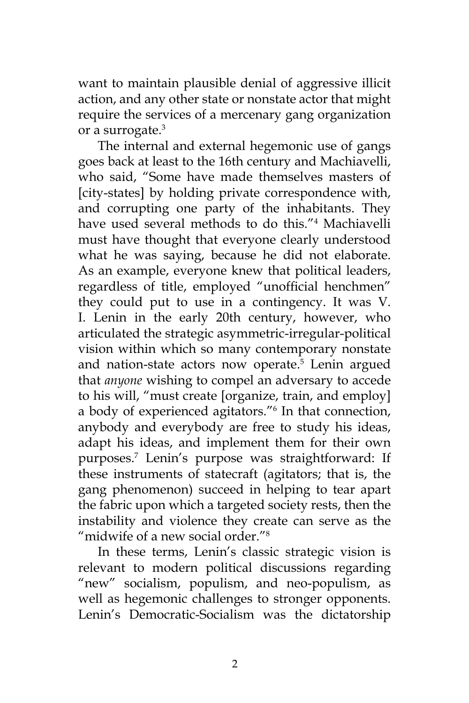want to maintain plausible denial of aggressive illicit action, and any other state or nonstate actor that might require the services of a mercenary gang organization or a surrogate.<sup>3</sup>

The internal and external hegemonic use of gangs goes back at least to the 16th century and Machiavelli, who said, "Some have made themselves masters of [city-states] by holding private correspondence with, and corrupting one party of the inhabitants. They have used several methods to do this."4 Machiavelli must have thought that everyone clearly understood what he was saying, because he did not elaborate. As an example, everyone knew that political leaders, regardless of title, employed "unofficial henchmen" they could put to use in a contingency. It was V. I. Lenin in the early 20th century, however, who articulated the strategic asymmetric-irregular-political vision within which so many contemporary nonstate and nation-state actors now operate.<sup>5</sup> Lenin argued that *anyone* wishing to compel an adversary to accede to his will, "must create [organize, train, and employ] a body of experienced agitators."6 In that connection, anybody and everybody are free to study his ideas, adapt his ideas, and implement them for their own purposes.7 Lenin's purpose was straightforward: If these instruments of statecraft (agitators; that is, the gang phenomenon) succeed in helping to tear apart the fabric upon which a targeted society rests, then the instability and violence they create can serve as the "midwife of a new social order."<sup>8</sup>

In these terms, Lenin's classic strategic vision is relevant to modern political discussions regarding "new" socialism, populism, and neo-populism, as well as hegemonic challenges to stronger opponents. Lenin's Democratic-Socialism was the dictatorship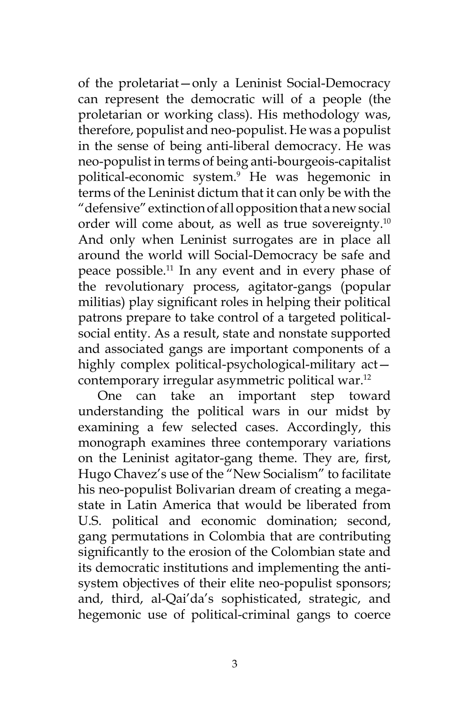of the proletariat—only a Leninist Social-Democracy can represent the democratic will of a people (the proletarian or working class). His methodology was, therefore, populist and neo-populist. He was a populist in the sense of being anti-liberal democracy. He was neo-populist in terms of being anti-bourgeois-capitalist political-economic system.9 He was hegemonic in terms of the Leninist dictum that it can only be with the "defensive" extinction of all opposition that a new social order will come about, as well as true sovereignty.10 And only when Leninist surrogates are in place all around the world will Social-Democracy be safe and peace possible.11 In any event and in every phase of the revolutionary process, agitator-gangs (popular militias) play significant roles in helping their political patrons prepare to take control of a targeted politicalsocial entity. As a result, state and nonstate supported and associated gangs are important components of a highly complex political-psychological-military act contemporary irregular asymmetric political war.12

One can take an important step toward understanding the political wars in our midst by examining a few selected cases. Accordingly, this monograph examines three contemporary variations on the Leninist agitator-gang theme. They are, first, Hugo Chavez's use of the "New Socialism" to facilitate his neo-populist Bolivarian dream of creating a megastate in Latin America that would be liberated from U.S. political and economic domination; second, gang permutations in Colombia that are contributing significantly to the erosion of the Colombian state and its democratic institutions and implementing the antisystem objectives of their elite neo-populist sponsors; and, third, al-Qai'da's sophisticated, strategic, and hegemonic use of political-criminal gangs to coerce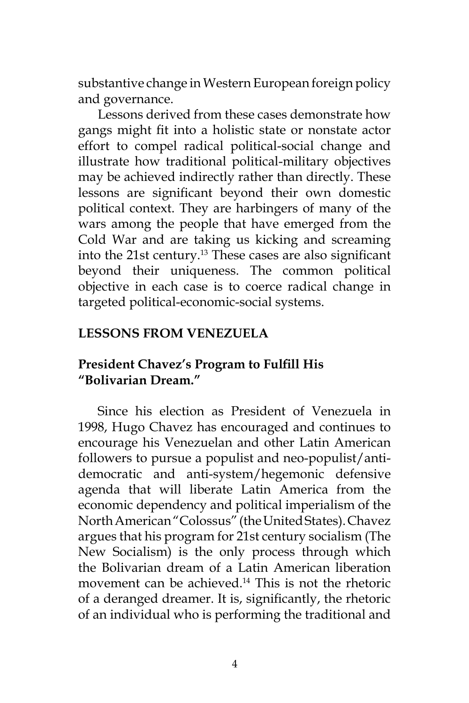substantive change in Western European foreign policy and governance.

Lessons derived from these cases demonstrate how gangs might fit into a holistic state or nonstate actor effort to compel radical political-social change and illustrate how traditional political-military objectives may be achieved indirectly rather than directly. These lessons are significant beyond their own domestic political context. They are harbingers of many of the wars among the people that have emerged from the Cold War and are taking us kicking and screaming into the 21st century.<sup>13</sup> These cases are also significant beyond their uniqueness. The common political objective in each case is to coerce radical change in targeted political-economic-social systems.

## **LESSONS FROM VENEZUELA**

## **President Chavez's Program to Fulfill His "Bolivarian Dream."**

Since his election as President of Venezuela in 1998, Hugo Chavez has encouraged and continues to encourage his Venezuelan and other Latin American followers to pursue a populist and neo-populist/antidemocratic and anti-system/hegemonic defensive agenda that will liberate Latin America from the economic dependency and political imperialism of the North American "Colossus" (the United States). Chavez argues that his program for 21st century socialism (The New Socialism) is the only process through which the Bolivarian dream of a Latin American liberation movement can be achieved.14 This is not the rhetoric of a deranged dreamer. It is, significantly, the rhetoric of an individual who is performing the traditional and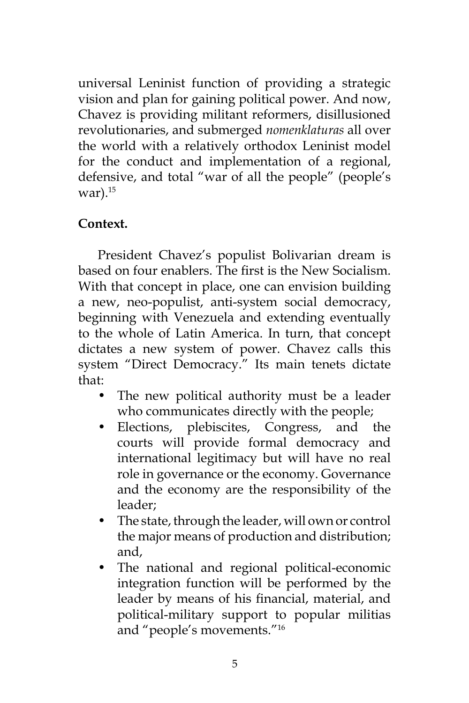universal Leninist function of providing a strategic vision and plan for gaining political power. And now, Chavez is providing militant reformers, disillusioned revolutionaries, and submerged *nomenklaturas* all over the world with a relatively orthodox Leninist model for the conduct and implementation of a regional, defensive, and total "war of all the people" (people's war). $^{15}$ 

## **Context.**

President Chavez's populist Bolivarian dream is based on four enablers. The first is the New Socialism. With that concept in place, one can envision building a new, neo-populist, anti-system social democracy, beginning with Venezuela and extending eventually to the whole of Latin America. In turn, that concept dictates a new system of power. Chavez calls this system "Direct Democracy." Its main tenets dictate that:

- The new political authority must be a leader who communicates directly with the people;
- Elections, plebiscites, Congress, and the courts will provide formal democracy and international legitimacy but will have no real role in governance or the economy. Governance and the economy are the responsibility of the leader;
- The state, through the leader, will own or control the major means of production and distribution; and,
- The national and regional political-economic integration function will be performed by the leader by means of his financial, material, and political-military support to popular militias and "people's movements."16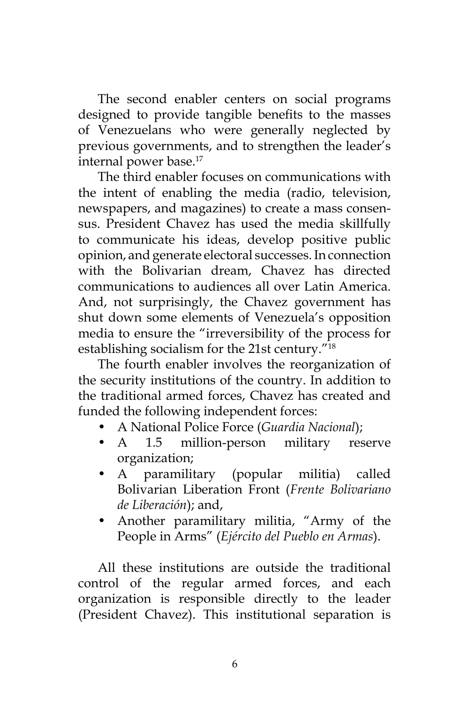The second enabler centers on social programs designed to provide tangible benefits to the masses of Venezuelans who were generally neglected by previous governments, and to strengthen the leader's internal power base.<sup>17</sup>

The third enabler focuses on communications with the intent of enabling the media (radio, television, newspapers, and magazines) to create a mass consensus. President Chavez has used the media skillfully to communicate his ideas, develop positive public opinion, and generate electoral successes. In connection with the Bolivarian dream, Chavez has directed communications to audiences all over Latin America. And, not surprisingly, the Chavez government has shut down some elements of Venezuela's opposition media to ensure the "irreversibility of the process for establishing socialism for the 21st century."18

The fourth enabler involves the reorganization of the security institutions of the country. In addition to the traditional armed forces, Chavez has created and funded the following independent forces:

- A National Police Force (*Guardia Nacional*);
- A 1.5 million-person military reserve organization;
- A paramilitary (popular militia) called Bolivarian Liberation Front (*Frente Bolivariano de Liberación*); and,
- Another paramilitary militia, "Army of the People in Arms" (*Ejército del Pueblo en Armas*).

All these institutions are outside the traditional control of the regular armed forces, and each organization is responsible directly to the leader (President Chavez). This institutional separation is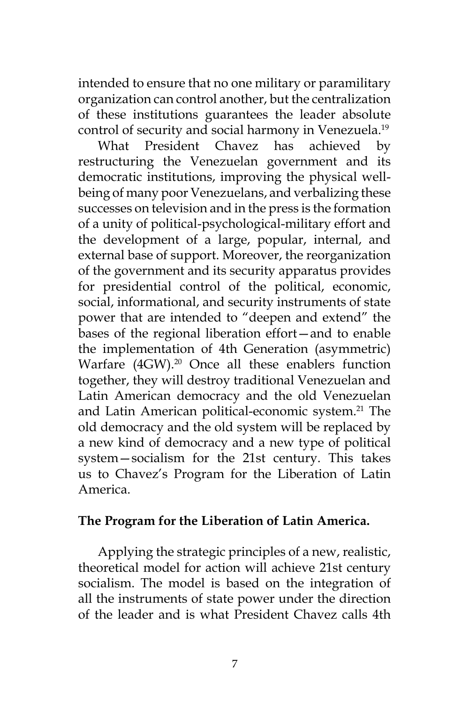intended to ensure that no one military or paramilitary organization can control another, but the centralization of these institutions guarantees the leader absolute control of security and social harmony in Venezuela.<sup>19</sup>

What President Chavez has achieved by restructuring the Venezuelan government and its democratic institutions, improving the physical wellbeing of many poor Venezuelans, and verbalizing these successes on television and in the press is the formation of a unity of political-psychological-military effort and the development of a large, popular, internal, and external base of support. Moreover, the reorganization of the government and its security apparatus provides for presidential control of the political, economic, social, informational, and security instruments of state power that are intended to "deepen and extend" the bases of the regional liberation effort—and to enable the implementation of 4th Generation (asymmetric) Warfare (4GW).<sup>20</sup> Once all these enablers function together, they will destroy traditional Venezuelan and Latin American democracy and the old Venezuelan and Latin American political-economic system.<sup>21</sup> The old democracy and the old system will be replaced by a new kind of democracy and a new type of political system—socialism for the 21st century. This takes us to Chavez's Program for the Liberation of Latin America.

#### **The Program for the Liberation of Latin America.**

Applying the strategic principles of a new, realistic, theoretical model for action will achieve 21st century socialism. The model is based on the integration of all the instruments of state power under the direction of the leader and is what President Chavez calls 4th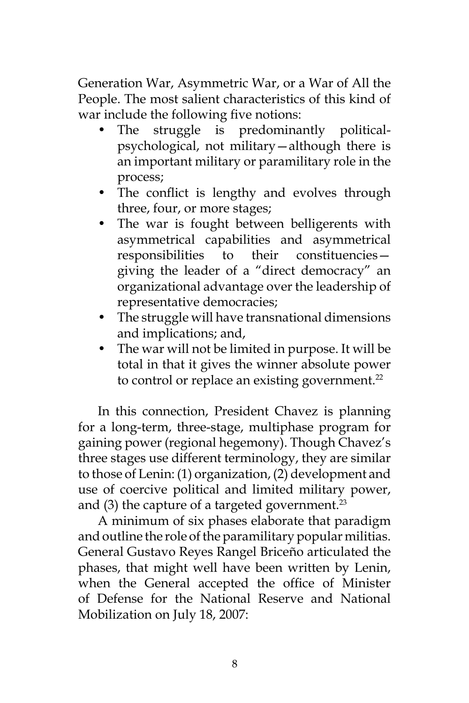Generation War, Asymmetric War, or a War of All the People. The most salient characteristics of this kind of war include the following five notions:

- The struggle is predominantly politicalpsychological, not military—although there is an important military or paramilitary role in the process;
- The conflict is lengthy and evolves through three, four, or more stages;
- The war is fought between belligerents with asymmetrical capabilities and asymmetrical responsibilities to their constituencies giving the leader of a "direct democracy" an organizational advantage over the leadership of representative democracies;
- The struggle will have transnational dimensions and implications; and,
- The war will not be limited in purpose. It will be total in that it gives the winner absolute power to control or replace an existing government.<sup>22</sup>

In this connection, President Chavez is planning for a long-term, three-stage, multiphase program for gaining power (regional hegemony). Though Chavez's three stages use different terminology, they are similar to those of Lenin: (1) organization, (2) development and use of coercive political and limited military power, and  $(3)$  the capture of a targeted government.<sup>23</sup>

A minimum of six phases elaborate that paradigm and outline the role of the paramilitary popular militias. General Gustavo Reyes Rangel Briceño articulated the phases, that might well have been written by Lenin, when the General accepted the office of Minister of Defense for the National Reserve and National Mobilization on July 18, 2007: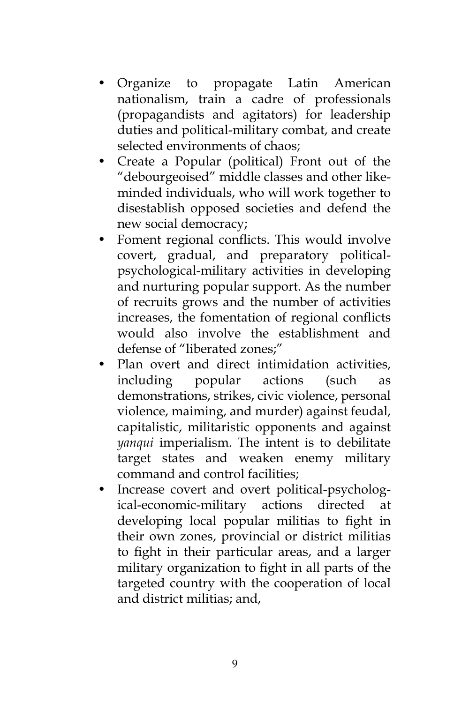- Organize to propagate Latin American nationalism, train a cadre of professionals (propagandists and agitators) for leadership duties and political-military combat, and create selected environments of chaos;
- Create a Popular (political) Front out of the "debourgeoised" middle classes and other likeminded individuals, who will work together to disestablish opposed societies and defend the new social democracy;
- Foment regional conflicts. This would involve covert, gradual, and preparatory politicalpsychological-military activities in developing and nurturing popular support. As the number of recruits grows and the number of activities increases, the fomentation of regional conflicts would also involve the establishment and defense of "liberated zones;"
- Plan overt and direct intimidation activities, including popular actions (such as demonstrations, strikes, civic violence, personal violence, maiming, and murder) against feudal, capitalistic, militaristic opponents and against *yanqui* imperialism. The intent is to debilitate target states and weaken enemy military command and control facilities;
- Increase covert and overt political-psychological-economic-military actions directed at developing local popular militias to fight in their own zones, provincial or district militias to fight in their particular areas, and a larger military organization to fight in all parts of the targeted country with the cooperation of local and district militias; and,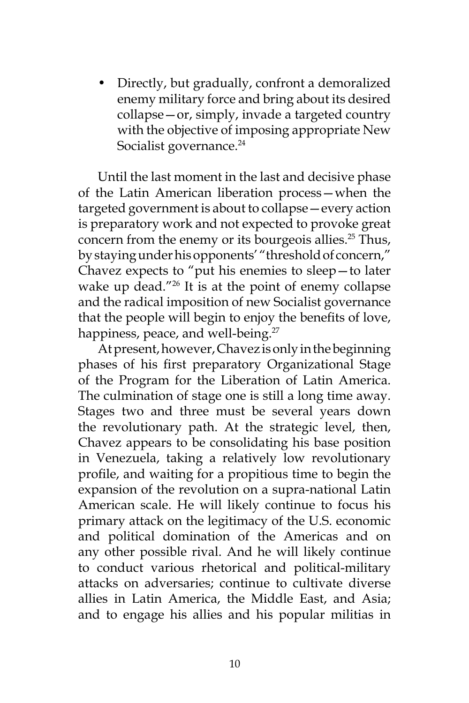• Directly, but gradually, confront a demoralized enemy military force and bring about its desired collapse—or, simply, invade a targeted country with the objective of imposing appropriate New Socialist governance.<sup>24</sup>

Until the last moment in the last and decisive phase of the Latin American liberation process—when the targeted government is about to collapse—every action is preparatory work and not expected to provoke great concern from the enemy or its bourgeois allies.<sup>25</sup> Thus, by staying under his opponents' "threshold of concern," Chavez expects to "put his enemies to sleep—to later wake up dead."<sup>26</sup> It is at the point of enemy collapse and the radical imposition of new Socialist governance that the people will begin to enjoy the benefits of love, happiness, peace, and well-being.<sup>27</sup>

At present, however, Chavez is only in the beginning phases of his first preparatory Organizational Stage of the Program for the Liberation of Latin America. The culmination of stage one is still a long time away. Stages two and three must be several years down the revolutionary path. At the strategic level, then, Chavez appears to be consolidating his base position in Venezuela, taking a relatively low revolutionary profile, and waiting for a propitious time to begin the expansion of the revolution on a supra-national Latin American scale. He will likely continue to focus his primary attack on the legitimacy of the U.S. economic and political domination of the Americas and on any other possible rival. And he will likely continue to conduct various rhetorical and political-military attacks on adversaries; continue to cultivate diverse allies in Latin America, the Middle East, and Asia; and to engage his allies and his popular militias in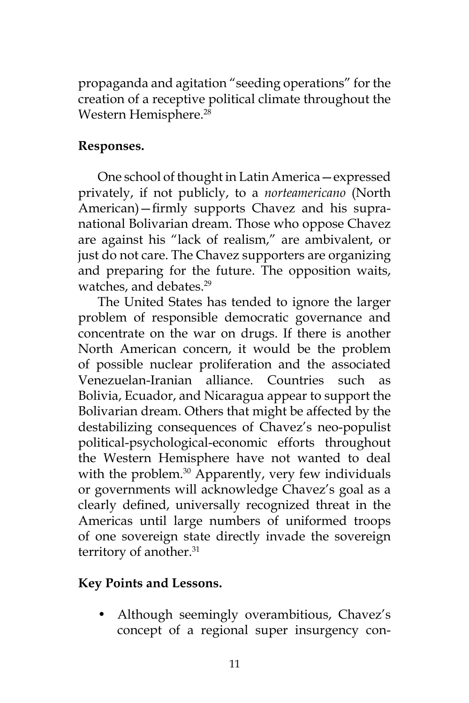propaganda and agitation "seeding operations" for the creation of a receptive political climate throughout the Western Hemisphere.<sup>28</sup>

## **Responses.**

One school of thought in Latin America—expressed privately, if not publicly, to a *norteamericano* (North American)—firmly supports Chavez and his supranational Bolivarian dream. Those who oppose Chavez are against his "lack of realism," are ambivalent, or just do not care. The Chavez supporters are organizing and preparing for the future. The opposition waits, watches, and debates.<sup>29</sup>

The United States has tended to ignore the larger problem of responsible democratic governance and concentrate on the war on drugs. If there is another North American concern, it would be the problem of possible nuclear proliferation and the associated Venezuelan-Iranian alliance. Countries such as Bolivia, Ecuador, and Nicaragua appear to support the Bolivarian dream. Others that might be affected by the destabilizing consequences of Chavez's neo-populist political-psychological-economic efforts throughout the Western Hemisphere have not wanted to deal with the problem.<sup>30</sup> Apparently, very few individuals or governments will acknowledge Chavez's goal as a clearly defined, universally recognized threat in the Americas until large numbers of uniformed troops of one sovereign state directly invade the sovereign territory of another.<sup>31</sup>

## **Key Points and Lessons.**

• Although seemingly overambitious, Chavez's concept of a regional super insurgency con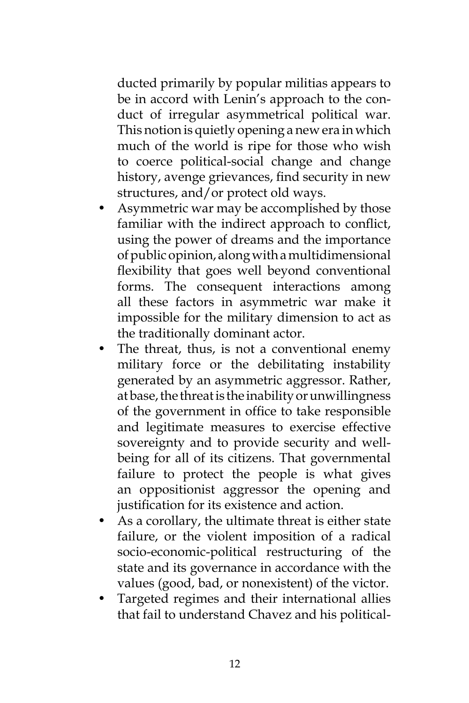ducted primarily by popular militias appears to be in accord with Lenin's approach to the conduct of irregular asymmetrical political war. This notion is quietly opening a new era in which much of the world is ripe for those who wish to coerce political-social change and change history, avenge grievances, find security in new structures, and/or protect old ways.

- Asymmetric war may be accomplished by those familiar with the indirect approach to conflict, using the power of dreams and the importance of public opinion, along with a multidimensional flexibility that goes well beyond conventional forms. The consequent interactions among all these factors in asymmetric war make it impossible for the military dimension to act as the traditionally dominant actor.
- The threat, thus, is not a conventional enemy military force or the debilitating instability generated by an asymmetric aggressor. Rather, at base, the threat is the inability or unwillingness of the government in office to take responsible and legitimate measures to exercise effective sovereignty and to provide security and wellbeing for all of its citizens. That governmental failure to protect the people is what gives an oppositionist aggressor the opening and justification for its existence and action.
- As a corollary, the ultimate threat is either state failure, or the violent imposition of a radical socio-economic-political restructuring of the state and its governance in accordance with the values (good, bad, or nonexistent) of the victor.
- Targeted regimes and their international allies that fail to understand Chavez and his political-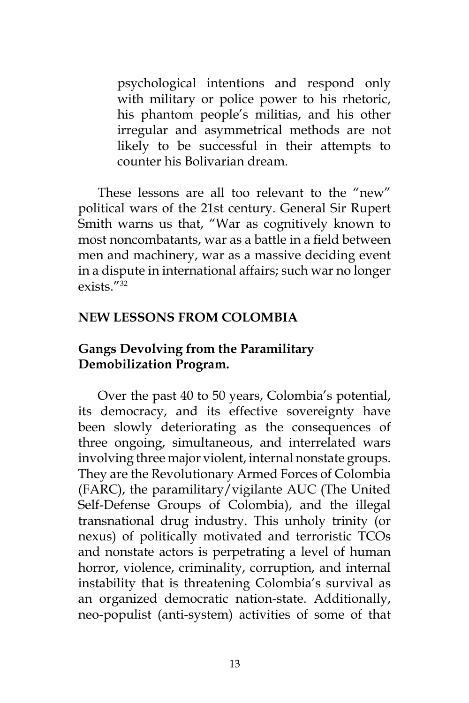psychological intentions and respond only with military or police power to his rhetoric, his phantom people's militias, and his other irregular and asymmetrical methods are not likely to be successful in their attempts to counter his Bolivarian dream.

These lessons are all too relevant to the "new" political wars of the 21st century. General Sir Rupert Smith warns us that, "War as cognitively known to most noncombatants, war as a battle in a field between men and machinery, war as a massive deciding event in a dispute in international affairs; such war no longer  $exists$ "32

#### **NEW LESSONS FROM COLOMBIA**

## **Gangs Devolving from the Paramilitary Demobilization Program.**

Over the past 40 to 50 years, Colombia's potential, its democracy, and its effective sovereignty have been slowly deteriorating as the consequences of three ongoing, simultaneous, and interrelated wars involving three major violent, internal nonstate groups. They are the Revolutionary Armed Forces of Colombia (FARC), the paramilitary/vigilante AUC (The United Self-Defense Groups of Colombia), and the illegal transnational drug industry. This unholy trinity (or nexus) of politically motivated and terroristic TCOs and nonstate actors is perpetrating a level of human horror, violence, criminality, corruption, and internal instability that is threatening Colombia's survival as an organized democratic nation-state. Additionally, neo-populist (anti-system) activities of some of that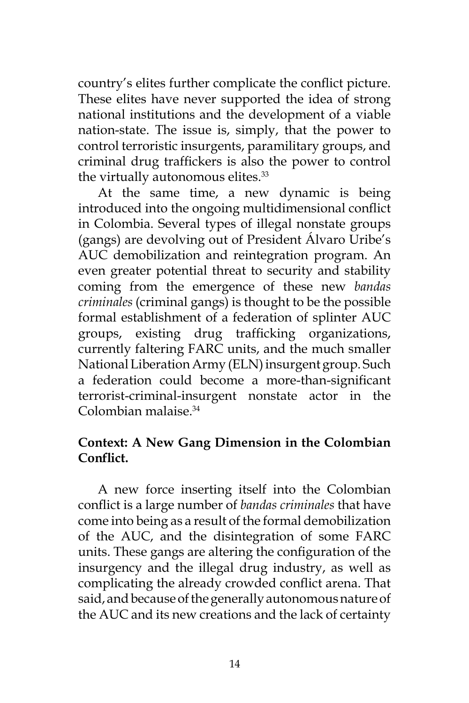country's elites further complicate the conflict picture. These elites have never supported the idea of strong national institutions and the development of a viable nation-state. The issue is, simply, that the power to control terroristic insurgents, paramilitary groups, and criminal drug traffickers is also the power to control the virtually autonomous elites.<sup>33</sup>

At the same time, a new dynamic is being introduced into the ongoing multidimensional conflict in Colombia. Several types of illegal nonstate groups (gangs) are devolving out of President Álvaro Uribe's AUC demobilization and reintegration program. An even greater potential threat to security and stability coming from the emergence of these new *bandas criminales* (criminal gangs) is thought to be the possible formal establishment of a federation of splinter AUC groups, existing drug trafficking organizations, currently faltering FARC units, and the much smaller National Liberation Army (ELN) insurgent group. Such a federation could become a more-than-significant terrorist-criminal-insurgent nonstate actor in the Colombian malaise.34

## **Context: A New Gang Dimension in the Colombian Conflict.**

A new force inserting itself into the Colombian conflict is a large number of *bandas criminales* that have come into being as a result of the formal demobilization of the AUC, and the disintegration of some FARC units. These gangs are altering the configuration of the insurgency and the illegal drug industry, as well as complicating the already crowded conflict arena. That said, and because of the generally autonomous nature of the AUC and its new creations and the lack of certainty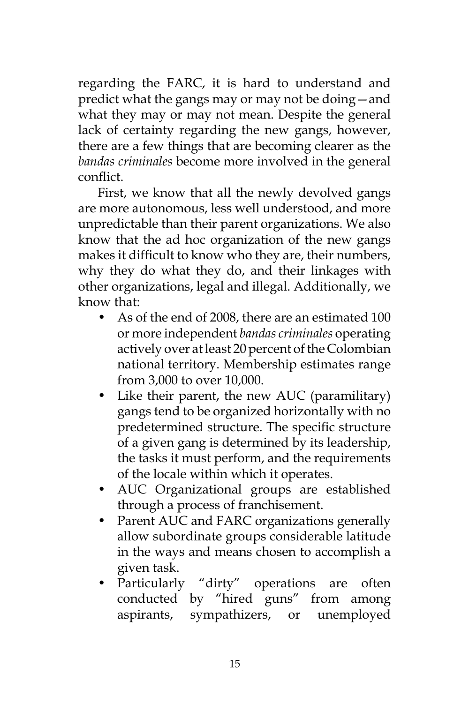regarding the FARC, it is hard to understand and predict what the gangs may or may not be doing—and what they may or may not mean. Despite the general lack of certainty regarding the new gangs, however, there are a few things that are becoming clearer as the *bandas criminales* become more involved in the general conflict.

First, we know that all the newly devolved gangs are more autonomous, less well understood, and more unpredictable than their parent organizations. We also know that the ad hoc organization of the new gangs makes it difficult to know who they are, their numbers, why they do what they do, and their linkages with other organizations, legal and illegal. Additionally, we know that:

- As of the end of 2008, there are an estimated 100 or more independent *bandas criminales* operating actively over at least 20 percent of the Colombian national territory. Membership estimates range from 3,000 to over 10,000.
- Like their parent, the new AUC (paramilitary) gangs tend to be organized horizontally with no predetermined structure. The specific structure of a given gang is determined by its leadership, the tasks it must perform, and the requirements of the locale within which it operates.
- AUC Organizational groups are established through a process of franchisement.
- Parent AUC and FARC organizations generally allow subordinate groups considerable latitude in the ways and means chosen to accomplish a given task.
- Particularly "dirty" operations are often conducted by "hired guns" from among aspirants, sympathizers, or unemployed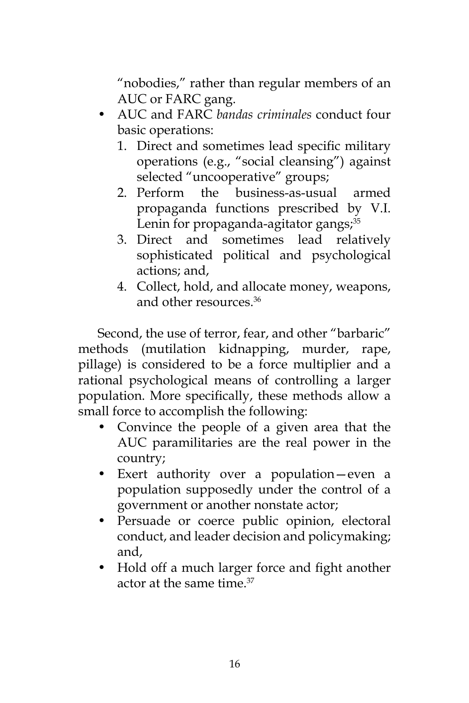"nobodies," rather than regular members of an AUC or FARC gang.

- AUC and FARC *bandas criminales* conduct four basic operations:
	- 1. Direct and sometimes lead specific military operations (e.g., "social cleansing") against selected "uncooperative" groups;
	- 2. Perform the business-as-usual armed propaganda functions prescribed by V.I. Lenin for propaganda-agitator gangs; $35$
	- 3. Direct and sometimes lead relatively sophisticated political and psychological actions; and,
	- 4. Collect, hold, and allocate money, weapons, and other resources  $36$

Second, the use of terror, fear, and other "barbaric" methods (mutilation kidnapping, murder, rape, pillage) is considered to be a force multiplier and a rational psychological means of controlling a larger population. More specifically, these methods allow a small force to accomplish the following:

- Convince the people of a given area that the AUC paramilitaries are the real power in the country;
- Exert authority over a population—even a population supposedly under the control of a government or another nonstate actor;
- Persuade or coerce public opinion, electoral conduct, and leader decision and policymaking; and,
- Hold off a much larger force and fight another actor at the same time.<sup>37</sup>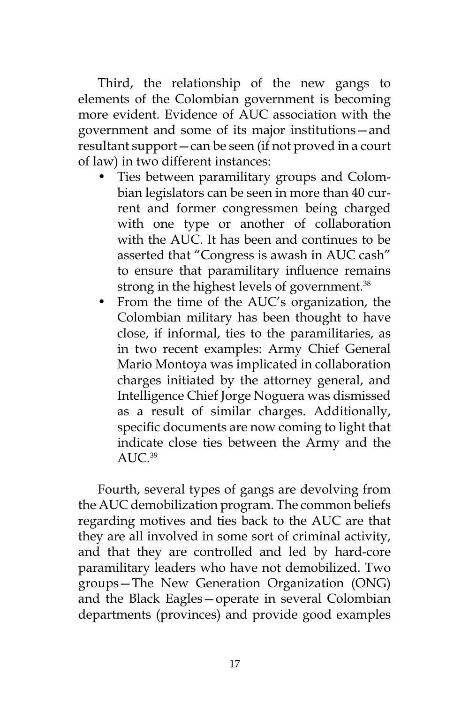Third, the relationship of the new gangs to elements of the Colombian government is becoming more evident. Evidence of AUC association with the government and some of its major institutions—and resultant support—can be seen (if not proved in a court of law) in two different instances:

- Ties between paramilitary groups and Colombian legislators can be seen in more than 40 current and former congressmen being charged with one type or another of collaboration with the AUC. It has been and continues to be asserted that "Congress is awash in AUC cash" to ensure that paramilitary influence remains strong in the highest levels of government.<sup>38</sup>
- From the time of the AUC's organization, the Colombian military has been thought to have close, if informal, ties to the paramilitaries, as in two recent examples: Army Chief General Mario Montoya was implicated in collaboration charges initiated by the attorney general, and Intelligence Chief Jorge Noguera was dismissed as a result of similar charges. Additionally, specific documents are now coming to light that indicate close ties between the Army and the ALI $C^{39}$

Fourth, several types of gangs are devolving from the AUC demobilization program. The common beliefs regarding motives and ties back to the AUC are that they are all involved in some sort of criminal activity, and that they are controlled and led by hard-core paramilitary leaders who have not demobilized. Two groups—The New Generation Organization (ONG) and the Black Eagles—operate in several Colombian departments (provinces) and provide good examples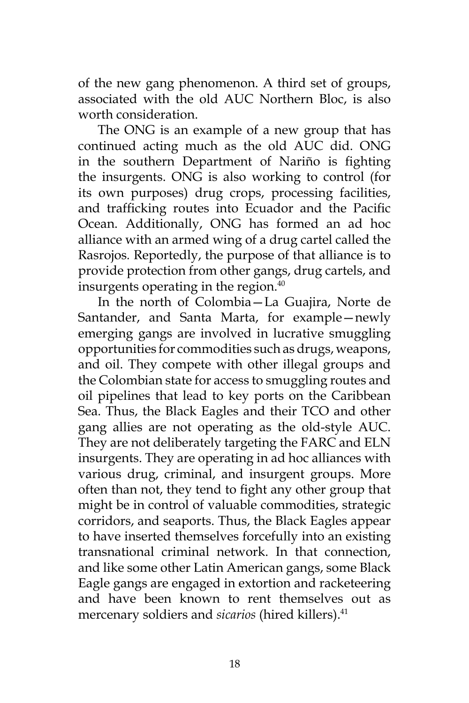of the new gang phenomenon. A third set of groups, associated with the old AUC Northern Bloc, is also worth consideration.

The ONG is an example of a new group that has continued acting much as the old AUC did. ONG in the southern Department of Nariño is fighting the insurgents. ONG is also working to control (for its own purposes) drug crops, processing facilities, and trafficking routes into Ecuador and the Pacific Ocean. Additionally, ONG has formed an ad hoc alliance with an armed wing of a drug cartel called the Rasrojos*.* Reportedly, the purpose of that alliance is to provide protection from other gangs, drug cartels, and insurgents operating in the region.<sup>40</sup>

In the north of Colombia—La Guajira, Norte de Santander, and Santa Marta, for example—newly emerging gangs are involved in lucrative smuggling opportunities for commodities such as drugs, weapons, and oil. They compete with other illegal groups and the Colombian state for access to smuggling routes and oil pipelines that lead to key ports on the Caribbean Sea. Thus, the Black Eagles and their TCO and other gang allies are not operating as the old-style AUC. They are not deliberately targeting the FARC and ELN insurgents. They are operating in ad hoc alliances with various drug, criminal, and insurgent groups. More often than not, they tend to fight any other group that might be in control of valuable commodities, strategic corridors, and seaports. Thus, the Black Eagles appear to have inserted themselves forcefully into an existing transnational criminal network. In that connection, and like some other Latin American gangs, some Black Eagle gangs are engaged in extortion and racketeering and have been known to rent themselves out as mercenary soldiers and *sicarios* (hired killers).<sup>41</sup>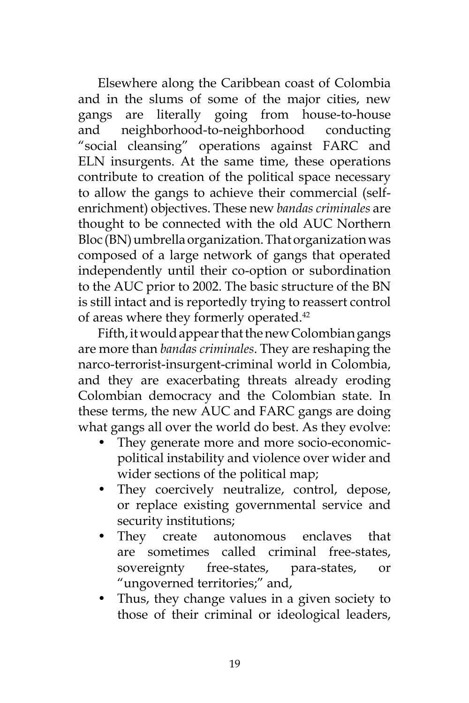Elsewhere along the Caribbean coast of Colombia and in the slums of some of the major cities, new gangs are literally going from house-to-house and neighborhood-to-neighborhood conducting "social cleansing" operations against FARC and ELN insurgents. At the same time, these operations contribute to creation of the political space necessary to allow the gangs to achieve their commercial (selfenrichment) objectives. These new *bandas criminales* are thought to be connected with the old AUC Northern Bloc (BN) umbrella organization. That organization was composed of a large network of gangs that operated independently until their co-option or subordination to the AUC prior to 2002. The basic structure of the BN is still intact and is reportedly trying to reassert control of areas where they formerly operated.42

Fifth, it would appear that the new Colombian gangs are more than *bandas criminales*. They are reshaping the narco-terrorist-insurgent-criminal world in Colombia, and they are exacerbating threats already eroding Colombian democracy and the Colombian state. In these terms, the new AUC and FARC gangs are doing what gangs all over the world do best. As they evolve:

- They generate more and more socio-economicpolitical instability and violence over wider and wider sections of the political map;
- They coercively neutralize, control, depose, or replace existing governmental service and security institutions;
- They create autonomous enclaves that are sometimes called criminal free-states, sovereignty free-states, para-states, or "ungoverned territories;" and,
- Thus, they change values in a given society to those of their criminal or ideological leaders,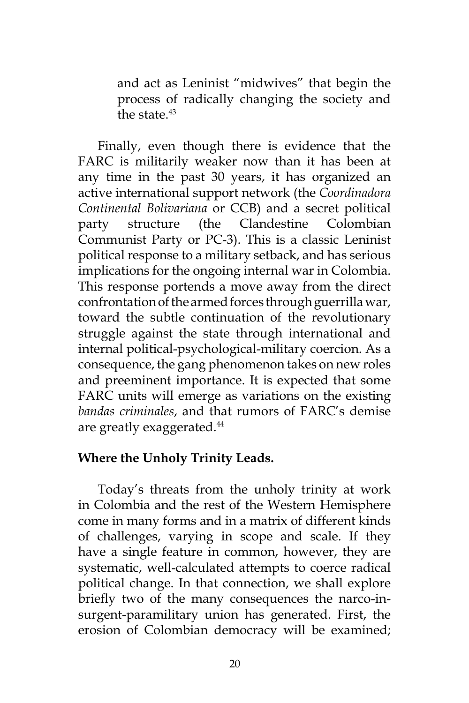and act as Leninist "midwives" that begin the process of radically changing the society and the state.<sup>43</sup>

Finally, even though there is evidence that the FARC is militarily weaker now than it has been at any time in the past 30 years, it has organized an active international support network (the *Coordinadora Continental Bolivariana* or CCB) and a secret political party structure (the Clandestine Colombian Communist Party or PC-3). This is a classic Leninist political response to a military setback, and has serious implications for the ongoing internal war in Colombia. This response portends a move away from the direct confrontation of the armed forces through guerrilla war, toward the subtle continuation of the revolutionary struggle against the state through international and internal political-psychological-military coercion. As a consequence, the gang phenomenon takes on new roles and preeminent importance. It is expected that some FARC units will emerge as variations on the existing *bandas criminales*, and that rumors of FARC's demise are greatly exaggerated.<sup>44</sup>

#### **Where the Unholy Trinity Leads.**

Today's threats from the unholy trinity at work in Colombia and the rest of the Western Hemisphere come in many forms and in a matrix of different kinds of challenges, varying in scope and scale. If they have a single feature in common, however, they are systematic, well-calculated attempts to coerce radical political change. In that connection, we shall explore briefly two of the many consequences the narco-insurgent-paramilitary union has generated. First, the erosion of Colombian democracy will be examined;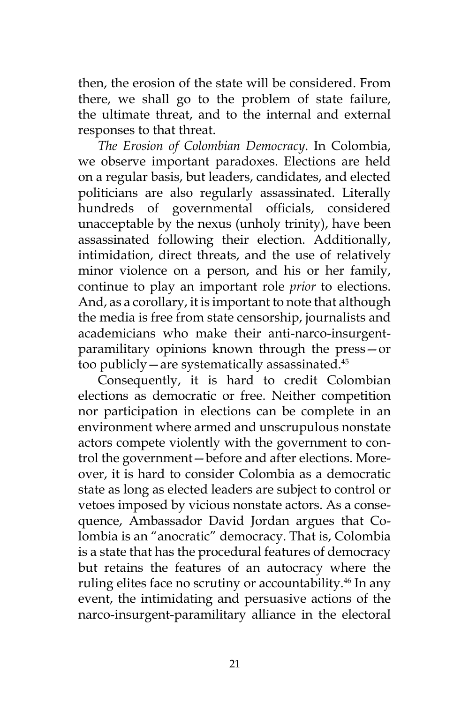then, the erosion of the state will be considered. From there, we shall go to the problem of state failure, the ultimate threat, and to the internal and external responses to that threat.

*The Erosion of Colombian Democracy*. In Colombia, we observe important paradoxes. Elections are held on a regular basis, but leaders, candidates, and elected politicians are also regularly assassinated. Literally hundreds of governmental officials, considered unacceptable by the nexus (unholy trinity), have been assassinated following their election. Additionally, intimidation, direct threats, and the use of relatively minor violence on a person, and his or her family, continue to play an important role *prior* to elections. And, as a corollary, it is important to note that although the media is free from state censorship, journalists and academicians who make their anti-narco-insurgentparamilitary opinions known through the press—or too publicly—are systematically assassinated.45

Consequently, it is hard to credit Colombian elections as democratic or free. Neither competition nor participation in elections can be complete in an environment where armed and unscrupulous nonstate actors compete violently with the government to control the government—before and after elections. Moreover, it is hard to consider Colombia as a democratic state as long as elected leaders are subject to control or vetoes imposed by vicious nonstate actors. As a consequence, Ambassador David Jordan argues that Colombia is an "anocratic" democracy. That is, Colombia is a state that has the procedural features of democracy but retains the features of an autocracy where the ruling elites face no scrutiny or accountability.<sup>46</sup> In any event, the intimidating and persuasive actions of the narco-insurgent-paramilitary alliance in the electoral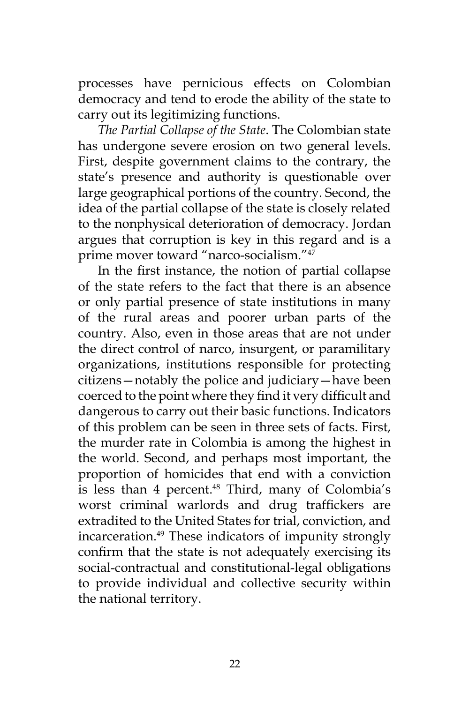processes have pernicious effects on Colombian democracy and tend to erode the ability of the state to carry out its legitimizing functions.

*The Partial Collapse of the State*. The Colombian state has undergone severe erosion on two general levels. First, despite government claims to the contrary, the state's presence and authority is questionable over large geographical portions of the country. Second, the idea of the partial collapse of the state is closely related to the nonphysical deterioration of democracy. Jordan argues that corruption is key in this regard and is a prime mover toward "narco-socialism."47

In the first instance, the notion of partial collapse of the state refers to the fact that there is an absence or only partial presence of state institutions in many of the rural areas and poorer urban parts of the country. Also, even in those areas that are not under the direct control of narco, insurgent, or paramilitary organizations, institutions responsible for protecting citizens—notably the police and judiciary—have been coerced to the point where they find it very difficult and dangerous to carry out their basic functions. Indicators of this problem can be seen in three sets of facts. First, the murder rate in Colombia is among the highest in the world. Second, and perhaps most important, the proportion of homicides that end with a conviction is less than 4 percent.<sup>48</sup> Third, many of Colombia's worst criminal warlords and drug traffickers are extradited to the United States for trial, conviction, and incarceration.49 These indicators of impunity strongly confirm that the state is not adequately exercising its social-contractual and constitutional-legal obligations to provide individual and collective security within the national territory.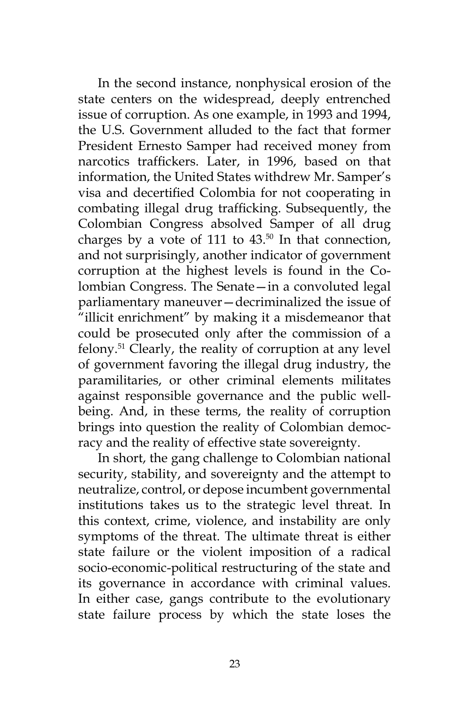In the second instance, nonphysical erosion of the state centers on the widespread, deeply entrenched issue of corruption. As one example, in 1993 and 1994, the U.S. Government alluded to the fact that former President Ernesto Samper had received money from narcotics traffickers. Later, in 1996, based on that information, the United States withdrew Mr. Samper's visa and decertified Colombia for not cooperating in combating illegal drug trafficking. Subsequently, the Colombian Congress absolved Samper of all drug charges by a vote of 111 to  $43.^{50}$  In that connection, and not surprisingly, another indicator of government corruption at the highest levels is found in the Colombian Congress. The Senate—in a convoluted legal parliamentary maneuver—decriminalized the issue of "illicit enrichment" by making it a misdemeanor that could be prosecuted only after the commission of a felony.51 Clearly, the reality of corruption at any level of government favoring the illegal drug industry, the paramilitaries, or other criminal elements militates against responsible governance and the public wellbeing. And, in these terms, the reality of corruption brings into question the reality of Colombian democracy and the reality of effective state sovereignty.

In short, the gang challenge to Colombian national security, stability, and sovereignty and the attempt to neutralize, control, or depose incumbent governmental institutions takes us to the strategic level threat. In this context, crime, violence, and instability are only symptoms of the threat. The ultimate threat is either state failure or the violent imposition of a radical socio-economic-political restructuring of the state and its governance in accordance with criminal values. In either case, gangs contribute to the evolutionary state failure process by which the state loses the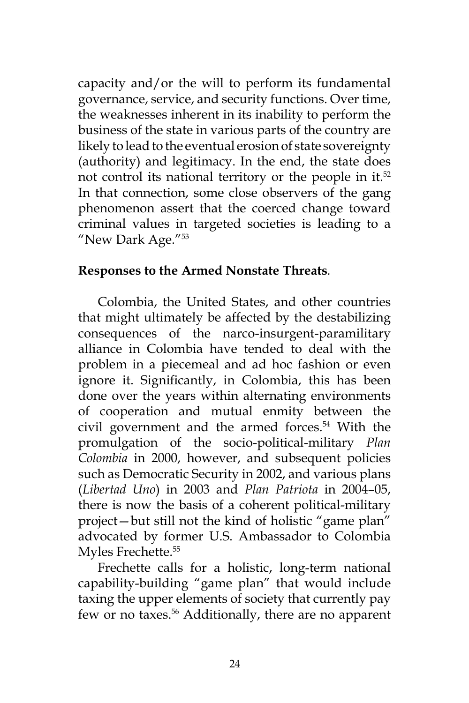capacity and/or the will to perform its fundamental governance, service, and security functions. Over time, the weaknesses inherent in its inability to perform the business of the state in various parts of the country are likely to lead to the eventual erosion of state sovereignty (authority) and legitimacy. In the end, the state does not control its national territory or the people in it.<sup>52</sup> In that connection, some close observers of the gang phenomenon assert that the coerced change toward criminal values in targeted societies is leading to a "New Dark Age."53

#### **Responses to the Armed Nonstate Threats***.*

Colombia, the United States, and other countries that might ultimately be affected by the destabilizing consequences of the narco-insurgent-paramilitary alliance in Colombia have tended to deal with the problem in a piecemeal and ad hoc fashion or even ignore it. Significantly, in Colombia, this has been done over the years within alternating environments of cooperation and mutual enmity between the civil government and the armed forces.54 With the promulgation of the socio-political-military *Plan Colombia* in 2000, however, and subsequent policies such as Democratic Security in 2002, and various plans (*Libertad Uno*) in 2003 and *Plan Patriota* in 2004–05, there is now the basis of a coherent political-military project—but still not the kind of holistic "game plan" advocated by former U.S. Ambassador to Colombia Myles Frechette.<sup>55</sup>

Frechette calls for a holistic, long-term national capability-building "game plan" that would include taxing the upper elements of society that currently pay few or no taxes.56 Additionally, there are no apparent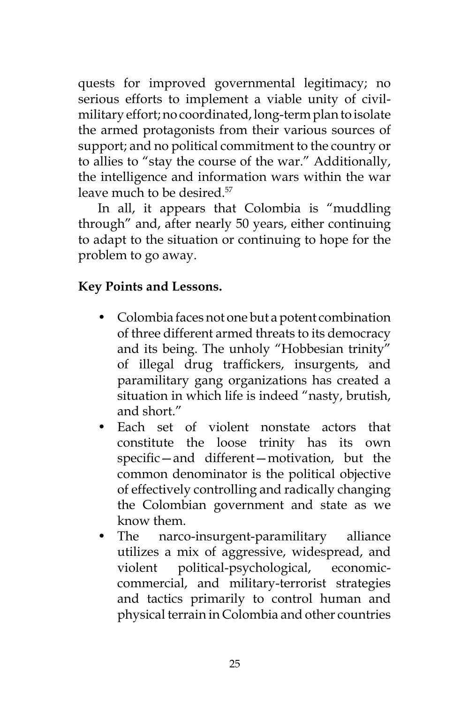quests for improved governmental legitimacy; no serious efforts to implement a viable unity of civilmilitary effort; no coordinated, long-term plan to isolate the armed protagonists from their various sources of support; and no political commitment to the country or to allies to "stay the course of the war." Additionally, the intelligence and information wars within the war leave much to be desired.<sup>57</sup>

In all, it appears that Colombia is "muddling through" and, after nearly 50 years, either continuing to adapt to the situation or continuing to hope for the problem to go away.

## **Key Points and Lessons.**

- Colombia faces not one but a potent combination of three different armed threats to its democracy and its being. The unholy "Hobbesian trinity" of illegal drug traffickers, insurgents, and paramilitary gang organizations has created a situation in which life is indeed "nasty, brutish, and short."
- Each set of violent nonstate actors that constitute the loose trinity has its own specific—and different—motivation, but the common denominator is the political objective of effectively controlling and radically changing the Colombian government and state as we know them.
- The narco-insurgent-paramilitary alliance utilizes a mix of aggressive, widespread, and violent political-psychological, economiccommercial, and military-terrorist strategies and tactics primarily to control human and physical terrain in Colombia and other countries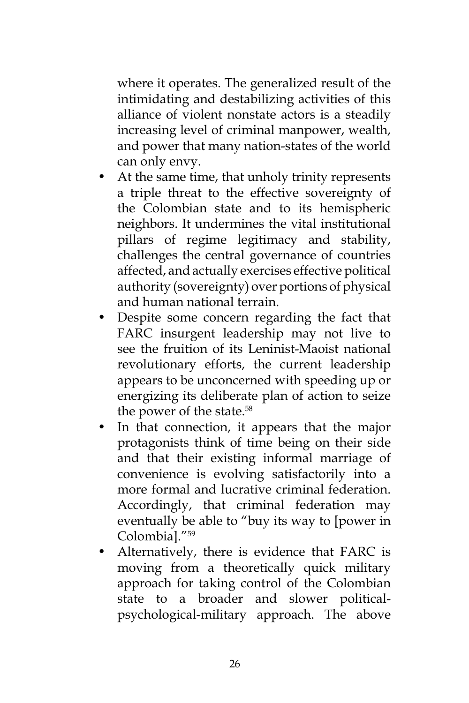where it operates. The generalized result of the intimidating and destabilizing activities of this alliance of violent nonstate actors is a steadily increasing level of criminal manpower, wealth, and power that many nation-states of the world can only envy.

- At the same time, that unholy trinity represents a triple threat to the effective sovereignty of the Colombian state and to its hemispheric neighbors. It undermines the vital institutional pillars of regime legitimacy and stability, challenges the central governance of countries affected, and actually exercises effective political authority (sovereignty) over portions of physical and human national terrain.
- Despite some concern regarding the fact that FARC insurgent leadership may not live to see the fruition of its Leninist-Maoist national revolutionary efforts, the current leadership appears to be unconcerned with speeding up or energizing its deliberate plan of action to seize the power of the state.<sup>58</sup>
- In that connection, it appears that the major protagonists think of time being on their side and that their existing informal marriage of convenience is evolving satisfactorily into a more formal and lucrative criminal federation. Accordingly, that criminal federation may eventually be able to "buy its way to [power in Colombia]."59
- Alternatively, there is evidence that FARC is moving from a theoretically quick military approach for taking control of the Colombian state to a broader and slower politicalpsychological-military approach. The above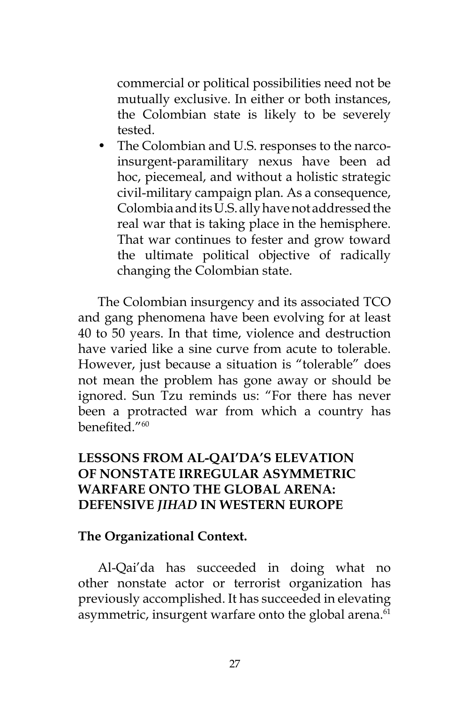commercial or political possibilities need not be mutually exclusive. In either or both instances, the Colombian state is likely to be severely tested.

• The Colombian and U.S. responses to the narcoinsurgent-paramilitary nexus have been ad hoc, piecemeal, and without a holistic strategic civil-military campaign plan. As a consequence, Colombia and its U.S. ally have not addressed the real war that is taking place in the hemisphere. That war continues to fester and grow toward the ultimate political objective of radically changing the Colombian state.

The Colombian insurgency and its associated TCO and gang phenomena have been evolving for at least 40 to 50 years. In that time, violence and destruction have varied like a sine curve from acute to tolerable. However, just because a situation is "tolerable" does not mean the problem has gone away or should be ignored. Sun Tzu reminds us: "For there has never been a protracted war from which a country has benefited."<sup>60</sup>

## **LESSONS FROM AL-QAI'DA'S ELEVATION OF NONSTATE IRREGULAR ASYMMETRIC WARFARE ONTO THE GLOBAL ARENA: DEFENSIVE** *JIHAD* **IN WESTERN EUROPE**

#### **The Organizational Context.**

Al-Qai'da has succeeded in doing what no other nonstate actor or terrorist organization has previously accomplished. It has succeeded in elevating asymmetric, insurgent warfare onto the global arena.<sup>61</sup>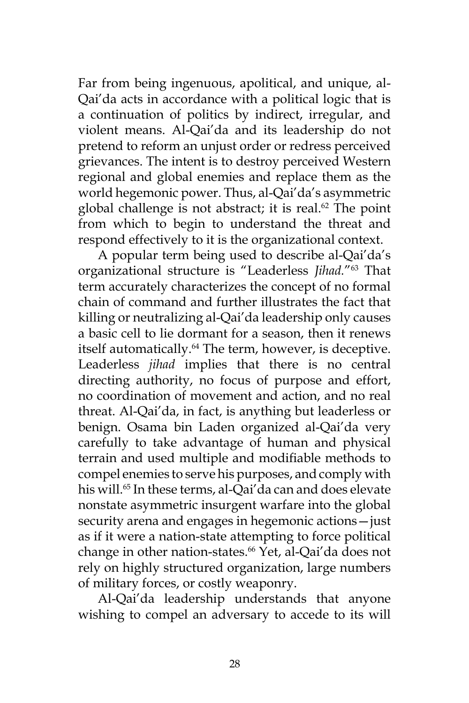Far from being ingenuous, apolitical, and unique, al-Qai'da acts in accordance with a political logic that is a continuation of politics by indirect, irregular, and violent means. Al-Qai'da and its leadership do not pretend to reform an unjust order or redress perceived grievances. The intent is to destroy perceived Western regional and global enemies and replace them as the world hegemonic power. Thus, al-Qai'da's asymmetric global challenge is not abstract; it is real. $62$  The point from which to begin to understand the threat and respond effectively to it is the organizational context.

A popular term being used to describe al-Qai'da's organizational structure is "Leaderless *Jihad.*"63 That term accurately characterizes the concept of no formal chain of command and further illustrates the fact that killing or neutralizing al-Qai'da leadership only causes a basic cell to lie dormant for a season, then it renews itself automatically.<sup>64</sup> The term, however, is deceptive. Leaderless *jihad* implies that there is no central directing authority, no focus of purpose and effort, no coordination of movement and action, and no real threat. Al-Qai'da, in fact, is anything but leaderless or benign. Osama bin Laden organized al-Qai'da very carefully to take advantage of human and physical terrain and used multiple and modifiable methods to compel enemies to serve his purposes, and comply with his will.<sup>65</sup> In these terms, al-Qai'da can and does elevate nonstate asymmetric insurgent warfare into the global security arena and engages in hegemonic actions—just as if it were a nation-state attempting to force political change in other nation-states.<sup>66</sup> Yet, al-Qai'da does not rely on highly structured organization, large numbers of military forces, or costly weaponry.

Al-Qai'da leadership understands that anyone wishing to compel an adversary to accede to its will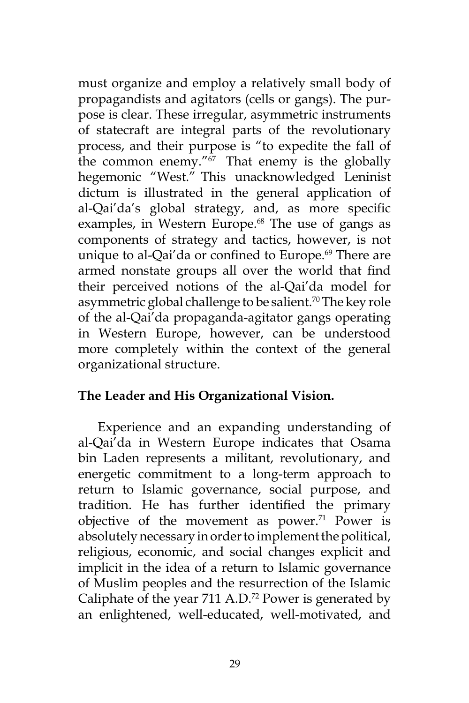must organize and employ a relatively small body of propagandists and agitators (cells or gangs). The purpose is clear. These irregular, asymmetric instruments of statecraft are integral parts of the revolutionary process, and their purpose is "to expedite the fall of the common enemy." $67$  That enemy is the globally hegemonic "West." This unacknowledged Leninist dictum is illustrated in the general application of al-Qai'da's global strategy, and, as more specific examples, in Western Europe.<sup>68</sup> The use of gangs as components of strategy and tactics, however, is not unique to al-Qai'da or confined to Europe.<sup>69</sup> There are armed nonstate groups all over the world that find their perceived notions of the al-Qai'da model for asymmetric global challenge to be salient.<sup>70</sup> The key role of the al-Qai'da propaganda-agitator gangs operating in Western Europe, however, can be understood more completely within the context of the general organizational structure.

## **The Leader and His Organizational Vision.**

Experience and an expanding understanding of al-Qai'da in Western Europe indicates that Osama bin Laden represents a militant, revolutionary, and energetic commitment to a long-term approach to return to Islamic governance, social purpose, and tradition. He has further identified the primary objective of the movement as power.<sup>71</sup> Power is absolutely necessary in order to implement the political, religious, economic, and social changes explicit and implicit in the idea of a return to Islamic governance of Muslim peoples and the resurrection of the Islamic Caliphate of the year 711 A.D.72 Power is generated by an enlightened, well-educated, well-motivated, and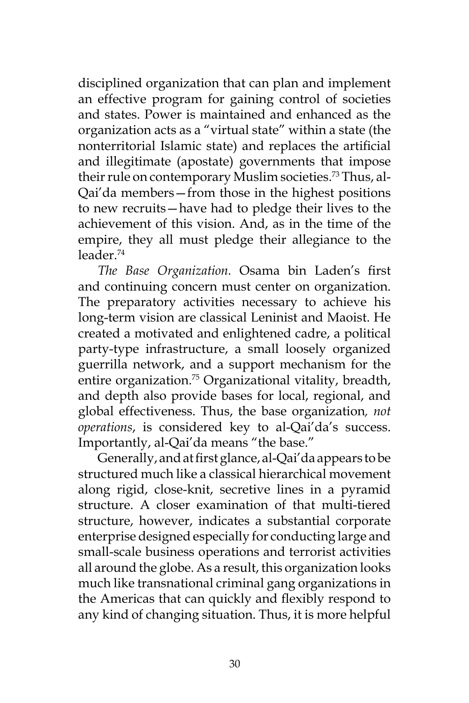disciplined organization that can plan and implement an effective program for gaining control of societies and states. Power is maintained and enhanced as the organization acts as a "virtual state" within a state (the nonterritorial Islamic state) and replaces the artificial and illegitimate (apostate) governments that impose their rule on contemporary Muslim societies.<sup>73</sup> Thus, al-Qai'da members—from those in the highest positions to new recruits—have had to pledge their lives to the achievement of this vision. And, as in the time of the empire, they all must pledge their allegiance to the leader.74

*The Base Organization.* Osama bin Laden's first and continuing concern must center on organization. The preparatory activities necessary to achieve his long-term vision are classical Leninist and Maoist. He created a motivated and enlightened cadre, a political party-type infrastructure, a small loosely organized guerrilla network, and a support mechanism for the entire organization.<sup>75</sup> Organizational vitality, breadth, and depth also provide bases for local, regional, and global effectiveness. Thus, the base organization*, not operations*, is considered key to al-Qai'da's success. Importantly, al-Qai'da means "the base."

Generally, and at first glance, al-Qai'da appears to be structured much like a classical hierarchical movement along rigid, close-knit, secretive lines in a pyramid structure. A closer examination of that multi-tiered structure, however, indicates a substantial corporate enterprise designed especially for conducting large and small-scale business operations and terrorist activities all around the globe. As a result, this organization looks much like transnational criminal gang organizations in the Americas that can quickly and flexibly respond to any kind of changing situation. Thus, it is more helpful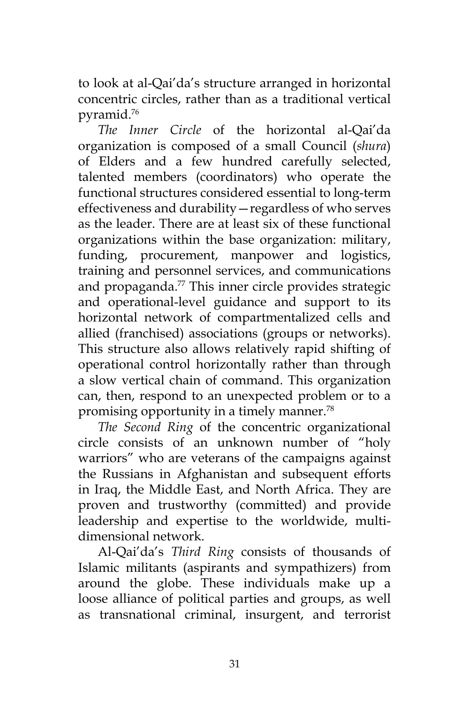to look at al-Qai'da's structure arranged in horizontal concentric circles, rather than as a traditional vertical pyramid.76

*The Inner Circle* of the horizontal al-Qai'da organization is composed of a small Council (*shura*) of Elders and a few hundred carefully selected, talented members (coordinators) who operate the functional structures considered essential to long-term effectiveness and durability—regardless of who serves as the leader. There are at least six of these functional organizations within the base organization: military, funding, procurement, manpower and logistics, training and personnel services, and communications and propaganda.<sup>77</sup> This inner circle provides strategic and operational-level guidance and support to its horizontal network of compartmentalized cells and allied (franchised) associations (groups or networks). This structure also allows relatively rapid shifting of operational control horizontally rather than through a slow vertical chain of command. This organization can, then, respond to an unexpected problem or to a promising opportunity in a timely manner.<sup>78</sup>

*The Second Ring* of the concentric organizational circle consists of an unknown number of "holy warriors" who are veterans of the campaigns against the Russians in Afghanistan and subsequent efforts in Iraq, the Middle East, and North Africa. They are proven and trustworthy (committed) and provide leadership and expertise to the worldwide, multidimensional network.

Al-Qai'da's *Third Ring* consists of thousands of Islamic militants (aspirants and sympathizers) from around the globe. These individuals make up a loose alliance of political parties and groups, as well as transnational criminal, insurgent, and terrorist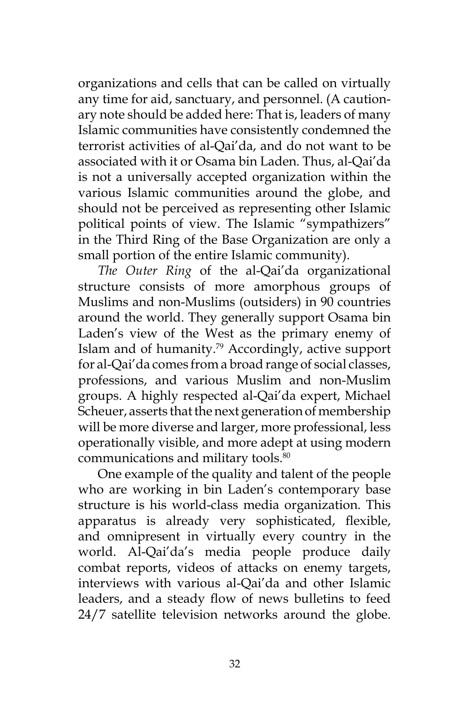organizations and cells that can be called on virtually any time for aid, sanctuary, and personnel. (A cautionary note should be added here: That is, leaders of many Islamic communities have consistently condemned the terrorist activities of al-Qai'da, and do not want to be associated with it or Osama bin Laden. Thus, al-Qai'da is not a universally accepted organization within the various Islamic communities around the globe, and should not be perceived as representing other Islamic political points of view. The Islamic "sympathizers" in the Third Ring of the Base Organization are only a small portion of the entire Islamic community).

*The Outer Ring* of the al-Qai'da organizational structure consists of more amorphous groups of Muslims and non-Muslims (outsiders) in 90 countries around the world. They generally support Osama bin Laden's view of the West as the primary enemy of Islam and of humanity.79 Accordingly, active support for al-Qai'da comes from a broad range of social classes, professions, and various Muslim and non-Muslim groups. A highly respected al-Qai'da expert, Michael Scheuer, asserts that the next generation of membership will be more diverse and larger, more professional, less operationally visible, and more adept at using modern communications and military tools.<sup>80</sup>

One example of the quality and talent of the people who are working in bin Laden's contemporary base structure is his world-class media organization. This apparatus is already very sophisticated, flexible, and omnipresent in virtually every country in the world. Al-Qai'da's media people produce daily combat reports, videos of attacks on enemy targets, interviews with various al-Qai'da and other Islamic leaders, and a steady flow of news bulletins to feed 24/7 satellite television networks around the globe.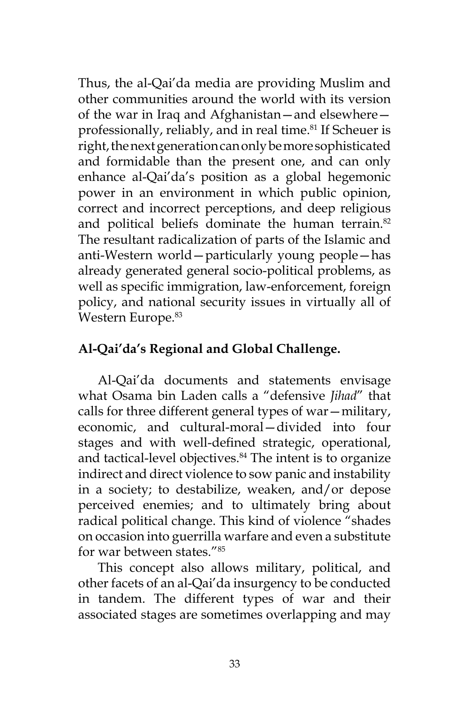Thus, the al-Qai'da media are providing Muslim and other communities around the world with its version of the war in Iraq and Afghanistan—and elsewhere professionally, reliably, and in real time.<sup>81</sup> If Scheuer is right, the next generation can only be more sophisticated and formidable than the present one, and can only enhance al-Qai'da's position as a global hegemonic power in an environment in which public opinion, correct and incorrect perceptions, and deep religious and political beliefs dominate the human terrain.<sup>82</sup> The resultant radicalization of parts of the Islamic and anti-Western world—particularly young people—has already generated general socio-political problems, as well as specific immigration, law-enforcement, foreign policy, and national security issues in virtually all of Western Europe.<sup>83</sup>

# **Al-Qai'da's Regional and Global Challenge.**

Al-Qai'da documents and statements envisage what Osama bin Laden calls a "defensive *Jihad*" that calls for three different general types of war—military, economic, and cultural-moral—divided into four stages and with well-defined strategic, operational, and tactical-level objectives.<sup>84</sup> The intent is to organize indirect and direct violence to sow panic and instability in a society; to destabilize, weaken, and/or depose perceived enemies; and to ultimately bring about radical political change. This kind of violence "shades on occasion into guerrilla warfare and even a substitute for war between states."85

This concept also allows military, political, and other facets of an al-Qai'da insurgency to be conducted in tandem. The different types of war and their associated stages are sometimes overlapping and may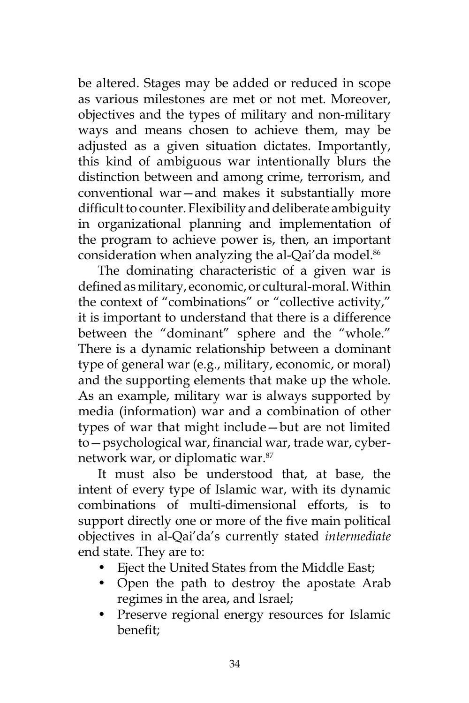be altered. Stages may be added or reduced in scope as various milestones are met or not met. Moreover, objectives and the types of military and non-military ways and means chosen to achieve them, may be adjusted as a given situation dictates. Importantly, this kind of ambiguous war intentionally blurs the distinction between and among crime, terrorism, and conventional war—and makes it substantially more difficult to counter. Flexibility and deliberate ambiguity in organizational planning and implementation of the program to achieve power is, then, an important consideration when analyzing the al-Qai'da model.<sup>86</sup>

The dominating characteristic of a given war is defined as military, economic, or cultural-moral. Within the context of "combinations" or "collective activity," it is important to understand that there is a difference between the "dominant" sphere and the "whole." There is a dynamic relationship between a dominant type of general war (e.g., military, economic, or moral) and the supporting elements that make up the whole. As an example, military war is always supported by media (information) war and a combination of other types of war that might include—but are not limited to—psychological war, financial war, trade war, cybernetwork war, or diplomatic war.87

It must also be understood that, at base, the intent of every type of Islamic war, with its dynamic combinations of multi-dimensional efforts, is to support directly one or more of the five main political objectives in al-Qai'da's currently stated *intermediate*  end state. They are to:

- Eject the United States from the Middle East;
- Open the path to destroy the apostate Arab regimes in the area, and Israel;
- Preserve regional energy resources for Islamic benefit;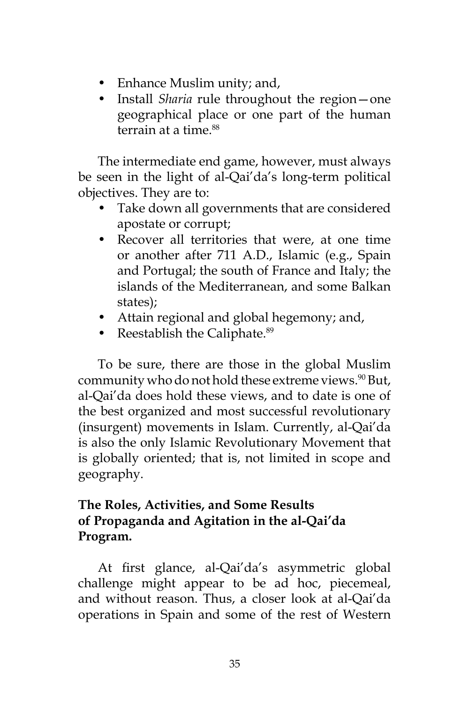- Enhance Muslim unity; and,
- Install *Sharia* rule throughout the region—one geographical place or one part of the human terrain at a time.<sup>88</sup>

The intermediate end game, however, must always be seen in the light of al-Qai'da's long-term political objectives. They are to:

- Take down all governments that are considered apostate or corrupt;
- Recover all territories that were, at one time or another after 711 A.D., Islamic (e.g., Spain and Portugal; the south of France and Italy; the islands of the Mediterranean, and some Balkan states);
- Attain regional and global hegemony; and,
- Reestablish the Caliphate. $89$

To be sure, there are those in the global Muslim community who do not hold these extreme views.<sup>90</sup> But, al-Qai'da does hold these views, and to date is one of the best organized and most successful revolutionary (insurgent) movements in Islam. Currently, al-Qai'da is also the only Islamic Revolutionary Movement that is globally oriented; that is, not limited in scope and geography.

# **The Roles, Activities, and Some Results of Propaganda and Agitation in the al-Qai'da Program.**

At first glance, al-Qai'da's asymmetric global challenge might appear to be ad hoc, piecemeal, and without reason. Thus, a closer look at al-Qai'da operations in Spain and some of the rest of Western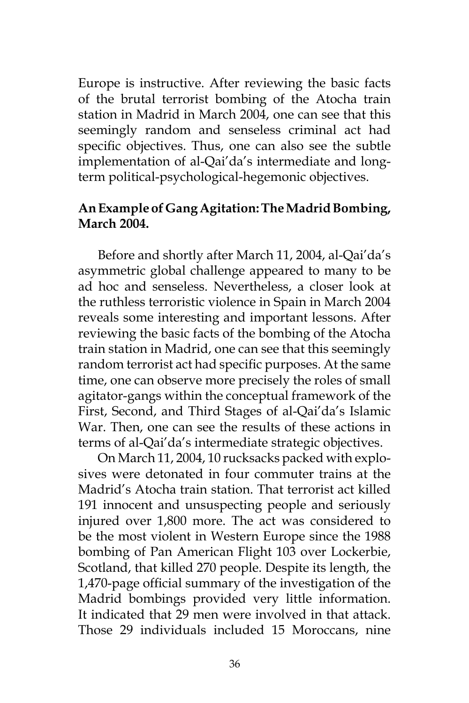Europe is instructive. After reviewing the basic facts of the brutal terrorist bombing of the Atocha train station in Madrid in March 2004, one can see that this seemingly random and senseless criminal act had specific objectives. Thus, one can also see the subtle implementation of al-Qai'da's intermediate and longterm political-psychological-hegemonic objectives.

## **An Example of Gang Agitation: The Madrid Bombing, March 2004.**

Before and shortly after March 11, 2004, al-Qai'da's asymmetric global challenge appeared to many to be ad hoc and senseless. Nevertheless, a closer look at the ruthless terroristic violence in Spain in March 2004 reveals some interesting and important lessons. After reviewing the basic facts of the bombing of the Atocha train station in Madrid, one can see that this seemingly random terrorist act had specific purposes. At the same time, one can observe more precisely the roles of small agitator-gangs within the conceptual framework of the First, Second, and Third Stages of al-Qai'da's Islamic War. Then, one can see the results of these actions in terms of al-Qai'da's intermediate strategic objectives.

On March 11, 2004, 10 rucksacks packed with explosives were detonated in four commuter trains at the Madrid's Atocha train station. That terrorist act killed 191 innocent and unsuspecting people and seriously injured over 1,800 more. The act was considered to be the most violent in Western Europe since the 1988 bombing of Pan American Flight 103 over Lockerbie, Scotland, that killed 270 people. Despite its length, the 1,470-page official summary of the investigation of the Madrid bombings provided very little information. It indicated that 29 men were involved in that attack. Those 29 individuals included 15 Moroccans, nine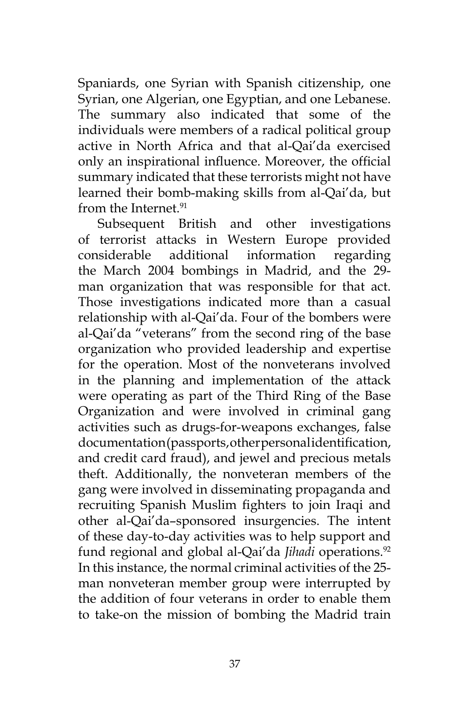Spaniards, one Syrian with Spanish citizenship, one Syrian, one Algerian, one Egyptian, and one Lebanese. The summary also indicated that some of the individuals were members of a radical political group active in North Africa and that al-Qai'da exercised only an inspirational influence. Moreover, the official summary indicated that these terrorists might not have learned their bomb-making skills from al-Qai'da, but from the Internet.<sup>91</sup>

Subsequent British and other investigations of terrorist attacks in Western Europe provided considerable additional information regarding the March 2004 bombings in Madrid, and the 29 man organization that was responsible for that act. Those investigations indicated more than a casual relationship with al-Qai'da. Four of the bombers were al-Qai'da "veterans" from the second ring of the base organization who provided leadership and expertise for the operation. Most of the nonveterans involved in the planning and implementation of the attack were operating as part of the Third Ring of the Base Organization and were involved in criminal gang activities such as drugs-for-weapons exchanges, false documentation (passports, other personal identification, and credit card fraud), and jewel and precious metals theft. Additionally, the nonveteran members of the gang were involved in disseminating propaganda and recruiting Spanish Muslim fighters to join Iraqi and other al-Qai'da–sponsored insurgencies. The intent of these day-to-day activities was to help support and fund regional and global al-Qai'da *Jihadi* operations.<sup>92</sup> In this instance, the normal criminal activities of the 25 man nonveteran member group were interrupted by the addition of four veterans in order to enable them to take-on the mission of bombing the Madrid train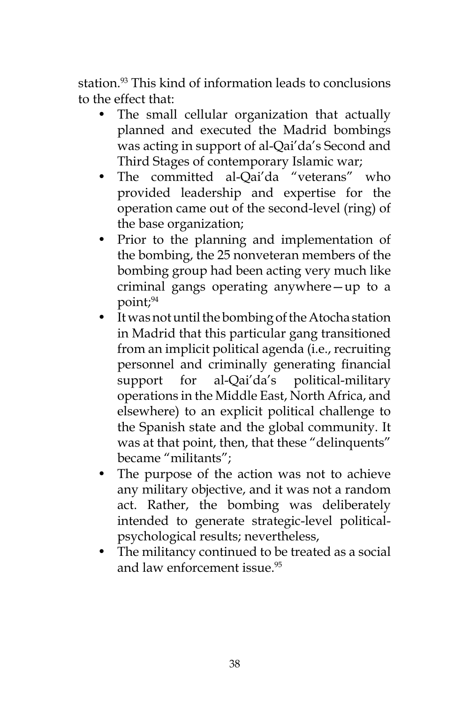station.<sup>93</sup> This kind of information leads to conclusions to the effect that:

- The small cellular organization that actually planned and executed the Madrid bombings was acting in support of al-Qai'da's Second and Third Stages of contemporary Islamic war;
- The committed al-Qai'da "veterans" who provided leadership and expertise for the operation came out of the second-level (ring) of the base organization;
- Prior to the planning and implementation of the bombing, the 25 nonveteran members of the bombing group had been acting very much like criminal gangs operating anywhere—up to a point;94
- It was not until the bombing of the Atocha station in Madrid that this particular gang transitioned from an implicit political agenda (i.e., recruiting personnel and criminally generating financial support for al-Qai'da's political-military operations in the Middle East, North Africa, and elsewhere) to an explicit political challenge to the Spanish state and the global community. It was at that point, then, that these "delinquents" became "militants";
- The purpose of the action was not to achieve any military objective, and it was not a random act. Rather, the bombing was deliberately intended to generate strategic-level politicalpsychological results; nevertheless,
- The militancy continued to be treated as a social and law enforcement issue.<sup>95</sup>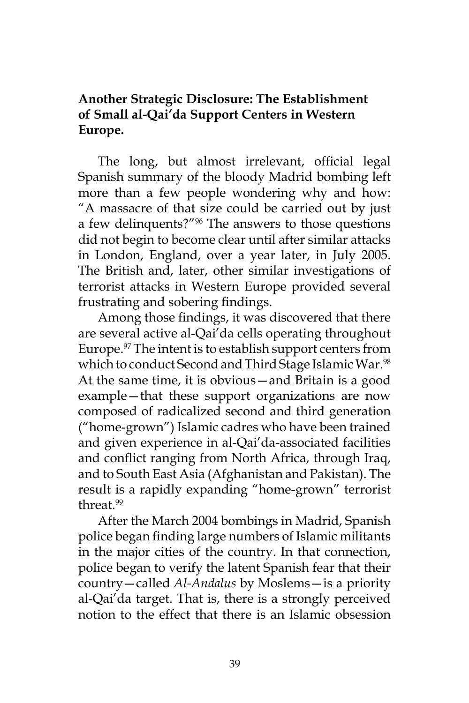## **Another Strategic Disclosure: The Establishment of Small al-Qai'da Support Centers in Western Europe.**

The long, but almost irrelevant, official legal Spanish summary of the bloody Madrid bombing left more than a few people wondering why and how: "A massacre of that size could be carried out by just a few delinquents?"96 The answers to those questions did not begin to become clear until after similar attacks in London, England, over a year later, in July 2005. The British and, later, other similar investigations of terrorist attacks in Western Europe provided several frustrating and sobering findings.

Among those findings, it was discovered that there are several active al-Qai'da cells operating throughout Europe.<sup>97</sup> The intent is to establish support centers from which to conduct Second and Third Stage Islamic War.<sup>98</sup> At the same time, it is obvious—and Britain is a good example—that these support organizations are now composed of radicalized second and third generation ("home-grown") Islamic cadres who have been trained and given experience in al-Qai'da-associated facilities and conflict ranging from North Africa, through Iraq, and to South East Asia (Afghanistan and Pakistan). The result is a rapidly expanding "home-grown" terrorist threat.99

After the March 2004 bombings in Madrid, Spanish police began finding large numbers of Islamic militants in the major cities of the country. In that connection, police began to verify the latent Spanish fear that their country—called *Al-Andalus* by Moslems—is a priority al-Qai'da target. That is, there is a strongly perceived notion to the effect that there is an Islamic obsession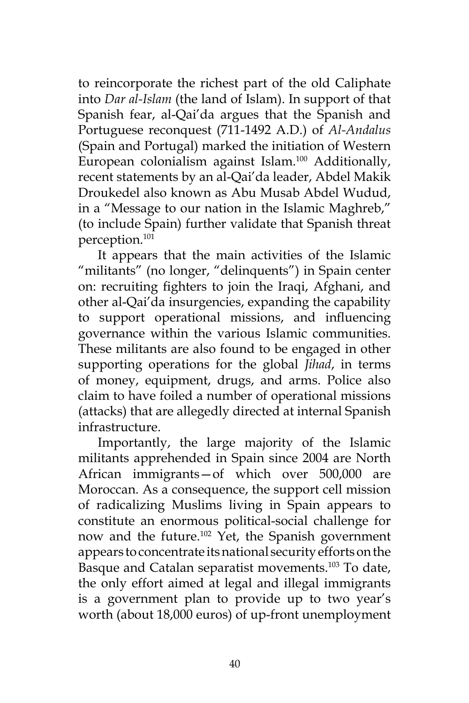to reincorporate the richest part of the old Caliphate into *Dar al-Islam* (the land of Islam). In support of that Spanish fear, al-Qai'da argues that the Spanish and Portuguese reconquest (711-1492 A.D.) of *Al-Andalus*  (Spain and Portugal) marked the initiation of Western European colonialism against Islam.<sup>100</sup> Additionally, recent statements by an al-Qai'da leader, Abdel Makik Droukedel also known as Abu Musab Abdel Wudud, in a "Message to our nation in the Islamic Maghreb," (to include Spain) further validate that Spanish threat perception.101

It appears that the main activities of the Islamic "militants" (no longer, "delinquents") in Spain center on: recruiting fighters to join the Iraqi, Afghani, and other al-Qai'da insurgencies, expanding the capability to support operational missions, and influencing governance within the various Islamic communities. These militants are also found to be engaged in other supporting operations for the global *Jihad*, in terms of money, equipment, drugs, and arms. Police also claim to have foiled a number of operational missions (attacks) that are allegedly directed at internal Spanish infrastructure.

Importantly, the large majority of the Islamic militants apprehended in Spain since 2004 are North African immigrants—of which over 500,000 are Moroccan. As a consequence, the support cell mission of radicalizing Muslims living in Spain appears to constitute an enormous political-social challenge for now and the future.<sup>102</sup> Yet, the Spanish government appears to concentrate its national security efforts on the Basque and Catalan separatist movements.<sup>103</sup> To date, the only effort aimed at legal and illegal immigrants is a government plan to provide up to two year's worth (about 18,000 euros) of up-front unemployment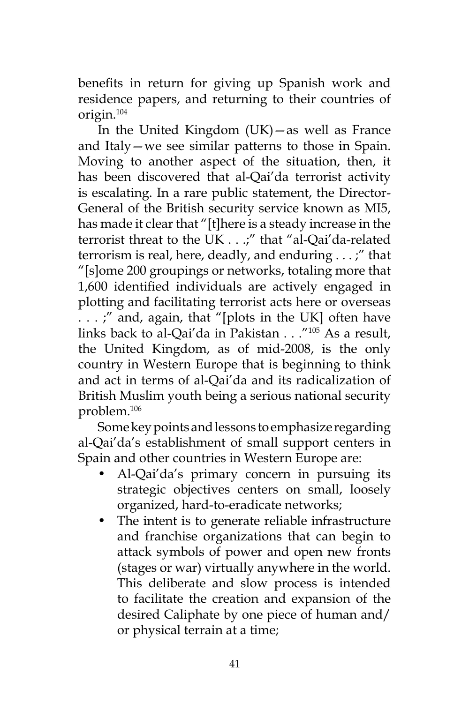benefits in return for giving up Spanish work and residence papers, and returning to their countries of origin.104

In the United Kingdom (UK)—as well as France and Italy—we see similar patterns to those in Spain. Moving to another aspect of the situation, then, it has been discovered that al-Qai'da terrorist activity is escalating. In a rare public statement, the Director-General of the British security service known as MI5, has made it clear that "[t]here is a steady increase in the terrorist threat to the UK . . .;" that "al-Qai'da-related terrorism is real, here, deadly, and enduring . . . ;" that "[s]ome 200 groupings or networks, totaling more that 1,600 identified individuals are actively engaged in plotting and facilitating terrorist acts here or overseas . . . ;" and, again, that "[plots in the UK] often have links back to al-Qai'da in Pakistan . . ."105 As a result, the United Kingdom, as of mid-2008, is the only country in Western Europe that is beginning to think and act in terms of al-Qai'da and its radicalization of British Muslim youth being a serious national security problem.106

Some key points and lessons to emphasize regarding al-Qai'da's establishment of small support centers in Spain and other countries in Western Europe are:

- Al-Qai'da's primary concern in pursuing its strategic objectives centers on small, loosely organized, hard-to-eradicate networks;
- The intent is to generate reliable infrastructure and franchise organizations that can begin to attack symbols of power and open new fronts (stages or war) virtually anywhere in the world. This deliberate and slow process is intended to facilitate the creation and expansion of the desired Caliphate by one piece of human and/ or physical terrain at a time;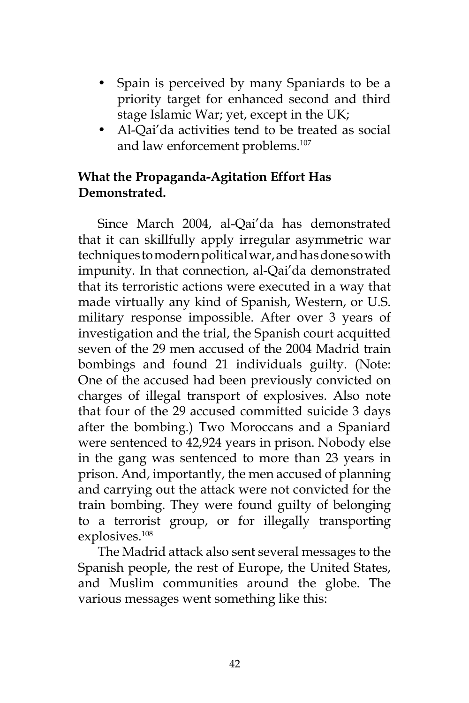- Spain is perceived by many Spaniards to be a priority target for enhanced second and third stage Islamic War; yet, except in the UK;
- Al-Qai'da activities tend to be treated as social and law enforcement problems.<sup>107</sup>

## **What the Propaganda-Agitation Effort Has Demonstrated.**

Since March 2004, al-Qai'da has demonstrated that it can skillfully apply irregular asymmetric war techniques to modern political war, and has done so with impunity. In that connection, al-Qai'da demonstrated that its terroristic actions were executed in a way that made virtually any kind of Spanish, Western, or U.S. military response impossible. After over 3 years of investigation and the trial, the Spanish court acquitted seven of the 29 men accused of the 2004 Madrid train bombings and found 21 individuals guilty. (Note: One of the accused had been previously convicted on charges of illegal transport of explosives. Also note that four of the 29 accused committed suicide 3 days after the bombing.) Two Moroccans and a Spaniard were sentenced to 42,924 years in prison. Nobody else in the gang was sentenced to more than 23 years in prison. And, importantly, the men accused of planning and carrying out the attack were not convicted for the train bombing. They were found guilty of belonging to a terrorist group, or for illegally transporting explosives.108

The Madrid attack also sent several messages to the Spanish people, the rest of Europe, the United States, and Muslim communities around the globe. The various messages went something like this: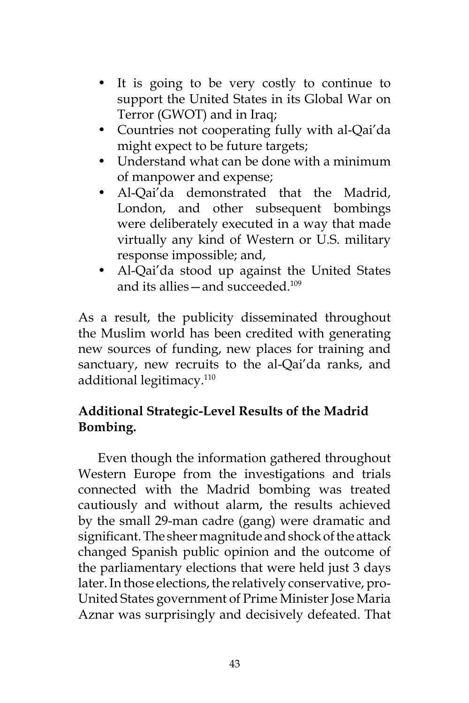- It is going to be very costly to continue to support the United States in its Global War on Terror (GWOT) and in Iraq;
- Countries not cooperating fully with al-Qai'da might expect to be future targets;
- Understand what can be done with a minimum of manpower and expense;
- Al-Qai'da demonstrated that the Madrid, London, and other subsequent bombings were deliberately executed in a way that made virtually any kind of Western or U.S. military response impossible; and,
- Al-Qai'da stood up against the United States and its allies—and succeeded.109

As a result, the publicity disseminated throughout the Muslim world has been credited with generating new sources of funding, new places for training and sanctuary, new recruits to the al-Qai'da ranks, and additional legitimacy.110

# **Additional Strategic-Level Results of the Madrid Bombing.**

Even though the information gathered throughout Western Europe from the investigations and trials connected with the Madrid bombing was treated cautiously and without alarm, the results achieved by the small 29-man cadre (gang) were dramatic and significant. The sheer magnitude and shock of the attack changed Spanish public opinion and the outcome of the parliamentary elections that were held just 3 days later. In those elections, the relatively conservative, pro-United States government of Prime Minister Jose Maria Aznar was surprisingly and decisively defeated. That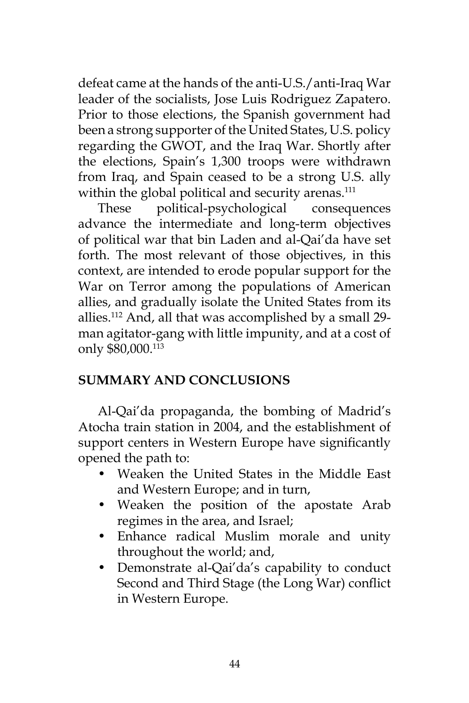defeat came at the hands of the anti-U.S./anti-Iraq War leader of the socialists, Jose Luis Rodriguez Zapatero. Prior to those elections, the Spanish government had been a strong supporter of the United States, U.S. policy regarding the GWOT, and the Iraq War. Shortly after the elections, Spain's 1,300 troops were withdrawn from Iraq, and Spain ceased to be a strong U.S. ally within the global political and security arenas.<sup>111</sup>

These political-psychological consequences advance the intermediate and long-term objectives of political war that bin Laden and al-Qai'da have set forth. The most relevant of those objectives, in this context, are intended to erode popular support for the War on Terror among the populations of American allies, and gradually isolate the United States from its allies.112 And, all that was accomplished by a small 29 man agitator-gang with little impunity, and at a cost of only \$80,000.113

## **SUMMARY AND CONCLUSIONS**

Al-Qai'da propaganda, the bombing of Madrid's Atocha train station in 2004, and the establishment of support centers in Western Europe have significantly opened the path to:

- Weaken the United States in the Middle East and Western Europe; and in turn,
- Weaken the position of the apostate Arab regimes in the area, and Israel;
- Enhance radical Muslim morale and unity throughout the world; and,
- Demonstrate al-Qai'da's capability to conduct Second and Third Stage (the Long War) conflict in Western Europe.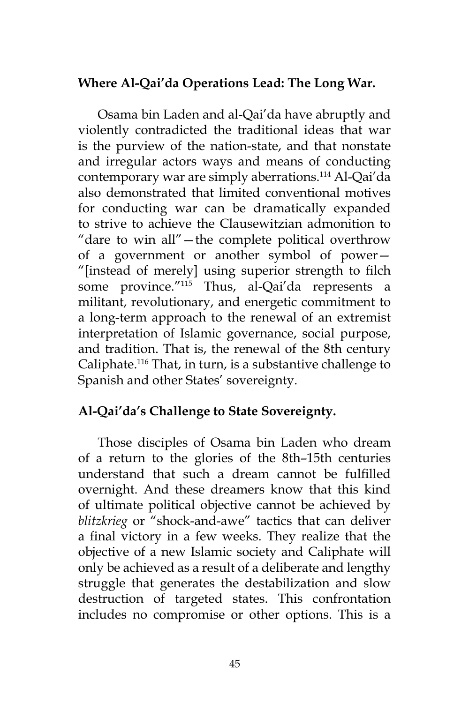## **Where Al-Qai'da Operations Lead: The Long War.**

Osama bin Laden and al-Qai'da have abruptly and violently contradicted the traditional ideas that war is the purview of the nation-state, and that nonstate and irregular actors ways and means of conducting contemporary war are simply aberrations.<sup>114</sup> Al-Qai'da also demonstrated that limited conventional motives for conducting war can be dramatically expanded to strive to achieve the Clausewitzian admonition to "dare to win all"—the complete political overthrow of a government or another symbol of power— "[instead of merely] using superior strength to filch some province."<sup>115</sup> Thus, al-Qai'da represents a militant, revolutionary, and energetic commitment to a long-term approach to the renewal of an extremist interpretation of Islamic governance, social purpose, and tradition. That is, the renewal of the 8th century Caliphate.116 That, in turn, is a substantive challenge to Spanish and other States' sovereignty.

## **Al-Qai'da's Challenge to State Sovereignty.**

Those disciples of Osama bin Laden who dream of a return to the glories of the 8th–15th centuries understand that such a dream cannot be fulfilled overnight. And these dreamers know that this kind of ultimate political objective cannot be achieved by *blitzkrieg* or "shock-and-awe" tactics that can deliver a final victory in a few weeks. They realize that the objective of a new Islamic society and Caliphate will only be achieved as a result of a deliberate and lengthy struggle that generates the destabilization and slow destruction of targeted states. This confrontation includes no compromise or other options. This is a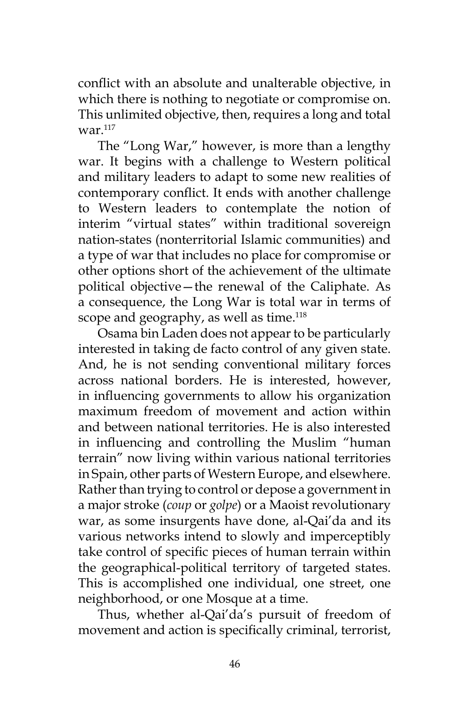conflict with an absolute and unalterable objective, in which there is nothing to negotiate or compromise on. This unlimited objective, then, requires a long and total war. $117$ 

The "Long War," however, is more than a lengthy war. It begins with a challenge to Western political and military leaders to adapt to some new realities of contemporary conflict. It ends with another challenge to Western leaders to contemplate the notion of interim "virtual states" within traditional sovereign nation-states (nonterritorial Islamic communities) and a type of war that includes no place for compromise or other options short of the achievement of the ultimate political objective—the renewal of the Caliphate. As a consequence, the Long War is total war in terms of scope and geography, as well as time.<sup>118</sup>

Osama bin Laden does not appear to be particularly interested in taking de facto control of any given state. And, he is not sending conventional military forces across national borders. He is interested, however, in influencing governments to allow his organization maximum freedom of movement and action within and between national territories. He is also interested in influencing and controlling the Muslim "human terrain" now living within various national territories in Spain, other parts of Western Europe, and elsewhere. Rather than trying to control or depose a government in a major stroke (*coup* or *golpe*) or a Maoist revolutionary war, as some insurgents have done, al-Qai'da and its various networks intend to slowly and imperceptibly take control of specific pieces of human terrain within the geographical-political territory of targeted states. This is accomplished one individual, one street, one neighborhood, or one Mosque at a time.

Thus, whether al-Qai'da's pursuit of freedom of movement and action is specifically criminal, terrorist,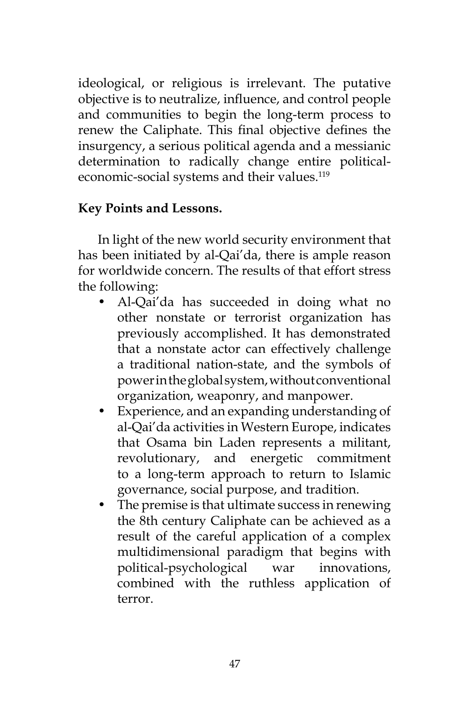ideological, or religious is irrelevant. The putative objective is to neutralize, influence, and control people and communities to begin the long-term process to renew the Caliphate. This final objective defines the insurgency, a serious political agenda and a messianic determination to radically change entire politicaleconomic-social systems and their values.<sup>119</sup>

## **Key Points and Lessons.**

In light of the new world security environment that has been initiated by al-Qai'da, there is ample reason for worldwide concern. The results of that effort stress the following:

- Al-Qai'da has succeeded in doing what no other nonstate or terrorist organization has previously accomplished. It has demonstrated that a nonstate actor can effectively challenge a traditional nation-state, and the symbols of power in the global system, without conventional organization, weaponry, and manpower.
- Experience, and an expanding understanding of al-Qai'da activities in Western Europe, indicates that Osama bin Laden represents a militant, revolutionary, and energetic commitment to a long-term approach to return to Islamic governance, social purpose, and tradition.
- The premise is that ultimate success in renewing the 8th century Caliphate can be achieved as a result of the careful application of a complex multidimensional paradigm that begins with political-psychological war innovations, combined with the ruthless application of terror.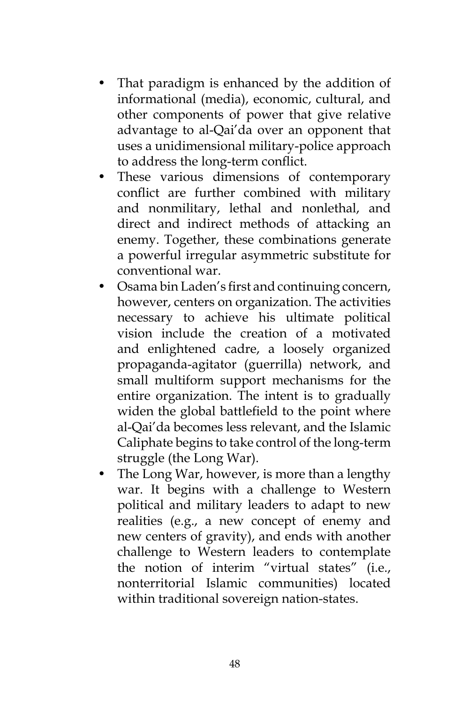- That paradigm is enhanced by the addition of informational (media), economic, cultural, and other components of power that give relative advantage to al-Qai'da over an opponent that uses a unidimensional military-police approach to address the long-term conflict.
- These various dimensions of contemporary conflict are further combined with military and nonmilitary, lethal and nonlethal, and direct and indirect methods of attacking an enemy. Together, these combinations generate a powerful irregular asymmetric substitute for conventional war.
- Osama bin Laden's first and continuing concern, however, centers on organization. The activities necessary to achieve his ultimate political vision include the creation of a motivated and enlightened cadre, a loosely organized propaganda-agitator (guerrilla) network, and small multiform support mechanisms for the entire organization. The intent is to gradually widen the global battlefield to the point where al-Qai'da becomes less relevant, and the Islamic Caliphate begins to take control of the long-term struggle (the Long War).
- The Long War, however, is more than a lengthy war. It begins with a challenge to Western political and military leaders to adapt to new realities (e.g., a new concept of enemy and new centers of gravity), and ends with another challenge to Western leaders to contemplate the notion of interim "virtual states" (i.e., nonterritorial Islamic communities) located within traditional sovereign nation-states.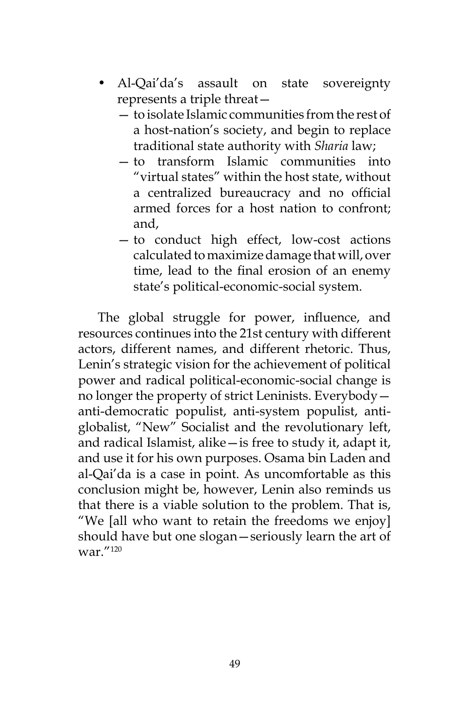- Al-Qai'da's assault on state sovereignty represents a triple threat—
	- to isolate Islamic communities from the rest of a host-nation's society, and begin to replace traditional state authority with *Sharia* law;
	- to transform Islamic communities into "virtual states" within the host state, without a centralized bureaucracy and no official armed forces for a host nation to confront; and,
	- to conduct high effect, low-cost actions calculated to maximize damage that will, over time, lead to the final erosion of an enemy state's political-economic-social system.

The global struggle for power, influence, and resources continues into the 21st century with different actors, different names, and different rhetoric. Thus, Lenin's strategic vision for the achievement of political power and radical political-economic-social change is no longer the property of strict Leninists. Everybody anti-democratic populist, anti-system populist, antiglobalist, "New" Socialist and the revolutionary left, and radical Islamist, alike—is free to study it, adapt it, and use it for his own purposes. Osama bin Laden and al-Qai'da is a case in point. As uncomfortable as this conclusion might be, however, Lenin also reminds us that there is a viable solution to the problem. That is, "We [all who want to retain the freedoms we enjoy] should have but one slogan—seriously learn the art of war."120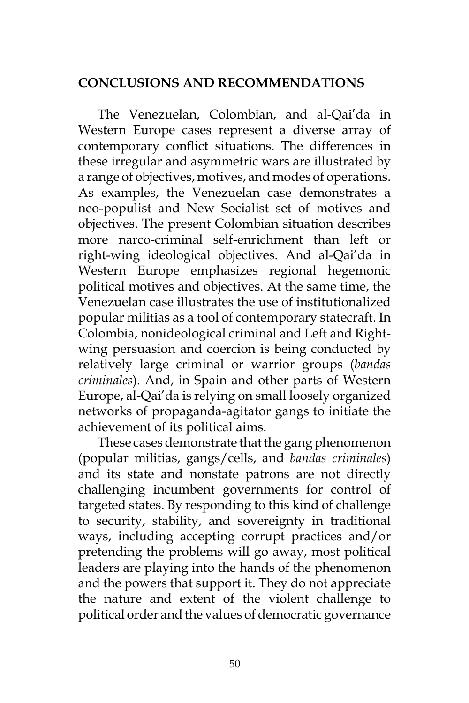## **CONCLUSIONS AND RECOMMENDATIONS**

The Venezuelan, Colombian, and al-Qai'da in Western Europe cases represent a diverse array of contemporary conflict situations. The differences in these irregular and asymmetric wars are illustrated by a range of objectives, motives, and modes of operations. As examples, the Venezuelan case demonstrates a neo-populist and New Socialist set of motives and objectives. The present Colombian situation describes more narco-criminal self-enrichment than left or right-wing ideological objectives. And al-Qai'da in Western Europe emphasizes regional hegemonic political motives and objectives. At the same time, the Venezuelan case illustrates the use of institutionalized popular militias as a tool of contemporary statecraft. In Colombia, nonideological criminal and Left and Rightwing persuasion and coercion is being conducted by relatively large criminal or warrior groups (*bandas criminales*). And, in Spain and other parts of Western Europe, al-Qai'da is relying on small loosely organized networks of propaganda-agitator gangs to initiate the achievement of its political aims.

These cases demonstrate that the gang phenomenon (popular militias, gangs/cells, and *bandas criminales*) and its state and nonstate patrons are not directly challenging incumbent governments for control of targeted states. By responding to this kind of challenge to security, stability, and sovereignty in traditional ways, including accepting corrupt practices and/or pretending the problems will go away, most political leaders are playing into the hands of the phenomenon and the powers that support it. They do not appreciate the nature and extent of the violent challenge to political order and the values of democratic governance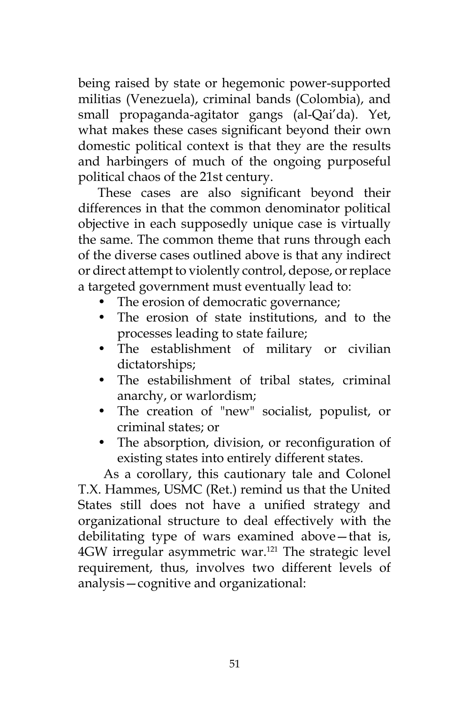being raised by state or hegemonic power-supported militias (Venezuela), criminal bands (Colombia), and small propaganda-agitator gangs (al-Qai'da). Yet, what makes these cases significant beyond their own domestic political context is that they are the results and harbingers of much of the ongoing purposeful political chaos of the 21st century.

These cases are also significant beyond their differences in that the common denominator political objective in each supposedly unique case is virtually the same. The common theme that runs through each of the diverse cases outlined above is that any indirect or direct attempt to violently control, depose, or replace a targeted government must eventually lead to:

- The erosion of democratic governance;
- The erosion of state institutions, and to the processes leading to state failure;
- The establishment of military or civilian dictatorships;
- The estabilishment of tribal states, criminal anarchy, or warlordism;
- The creation of "new" socialist, populist, or criminal states; or
- The absorption, division, or reconfiguration of existing states into entirely different states.

 As a corollary, this cautionary tale and Colonel T.X. Hammes, USMC (Ret.) remind us that the United States still does not have a unified strategy and organizational structure to deal effectively with the debilitating type of wars examined above—that is, 4GW irregular asymmetric war.<sup>121</sup> The strategic level requirement, thus, involves two different levels of analysis—cognitive and organizational: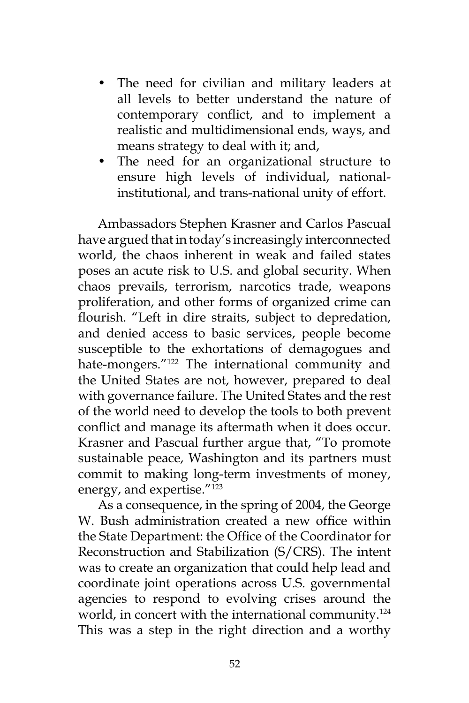- The need for civilian and military leaders at all levels to better understand the nature of contemporary conflict, and to implement a realistic and multidimensional ends, ways, and means strategy to deal with it; and,
- The need for an organizational structure to ensure high levels of individual, nationalinstitutional, and trans-national unity of effort.

Ambassadors Stephen Krasner and Carlos Pascual have argued that in today's increasingly interconnected world, the chaos inherent in weak and failed states poses an acute risk to U.S. and global security. When chaos prevails, terrorism, narcotics trade, weapons proliferation, and other forms of organized crime can flourish. "Left in dire straits, subject to depredation, and denied access to basic services, people become susceptible to the exhortations of demagogues and hate-mongers."<sup>122</sup> The international community and the United States are not, however, prepared to deal with governance failure. The United States and the rest of the world need to develop the tools to both prevent conflict and manage its aftermath when it does occur. Krasner and Pascual further argue that, "To promote sustainable peace, Washington and its partners must commit to making long-term investments of money, energy, and expertise."123

As a consequence, in the spring of 2004, the George W. Bush administration created a new office within the State Department: the Office of the Coordinator for Reconstruction and Stabilization (S/CRS). The intent was to create an organization that could help lead and coordinate joint operations across U.S. governmental agencies to respond to evolving crises around the world, in concert with the international community.<sup>124</sup> This was a step in the right direction and a worthy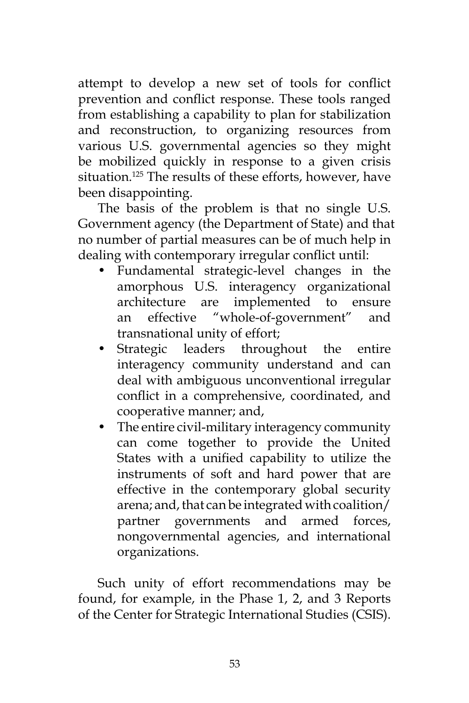attempt to develop a new set of tools for conflict prevention and conflict response. These tools ranged from establishing a capability to plan for stabilization and reconstruction, to organizing resources from various U.S. governmental agencies so they might be mobilized quickly in response to a given crisis situation.<sup>125</sup> The results of these efforts, however, have been disappointing.

The basis of the problem is that no single U.S. Government agency (the Department of State) and that no number of partial measures can be of much help in dealing with contemporary irregular conflict until:

- Fundamental strategic-level changes in the amorphous U.S. interagency organizational architecture are implemented to ensure an effective "whole-of-government" and transnational unity of effort;
- Strategic leaders throughout the entire interagency community understand and can deal with ambiguous unconventional irregular conflict in a comprehensive, coordinated, and cooperative manner; and,
- The entire civil-military interagency community can come together to provide the United States with a unified capability to utilize the instruments of soft and hard power that are effective in the contemporary global security arena; and, that can be integrated with coalition/ partner governments and armed forces, nongovernmental agencies, and international organizations.

Such unity of effort recommendations may be found, for example, in the Phase 1, 2, and 3 Reports of the Center for Strategic International Studies (CSIS).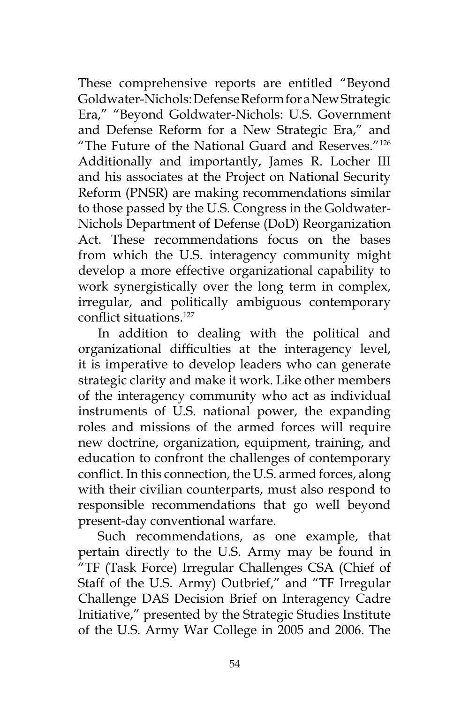These comprehensive reports are entitled "Beyond Goldwater-Nichols: Defense Reform for a New Strategic Era," "Beyond Goldwater-Nichols: U.S. Government and Defense Reform for a New Strategic Era," and "The Future of the National Guard and Reserves."126 Additionally and importantly, James R. Locher III and his associates at the Project on National Security Reform (PNSR) are making recommendations similar to those passed by the U.S. Congress in the Goldwater-Nichols Department of Defense (DoD) Reorganization Act. These recommendations focus on the bases from which the U.S. interagency community might develop a more effective organizational capability to work synergistically over the long term in complex, irregular, and politically ambiguous contemporary conflict situations.<sup>127</sup>

In addition to dealing with the political and organizational difficulties at the interagency level, it is imperative to develop leaders who can generate strategic clarity and make it work. Like other members of the interagency community who act as individual instruments of U.S. national power, the expanding roles and missions of the armed forces will require new doctrine, organization, equipment, training, and education to confront the challenges of contemporary conflict. In this connection, the U.S. armed forces, along with their civilian counterparts, must also respond to responsible recommendations that go well beyond present-day conventional warfare.

Such recommendations, as one example, that pertain directly to the U.S. Army may be found in "TF (Task Force) Irregular Challenges CSA (Chief of Staff of the U.S. Army) Outbrief," and "TF Irregular Challenge DAS Decision Brief on Interagency Cadre Initiative," presented by the Strategic Studies Institute of the U.S. Army War College in 2005 and 2006. The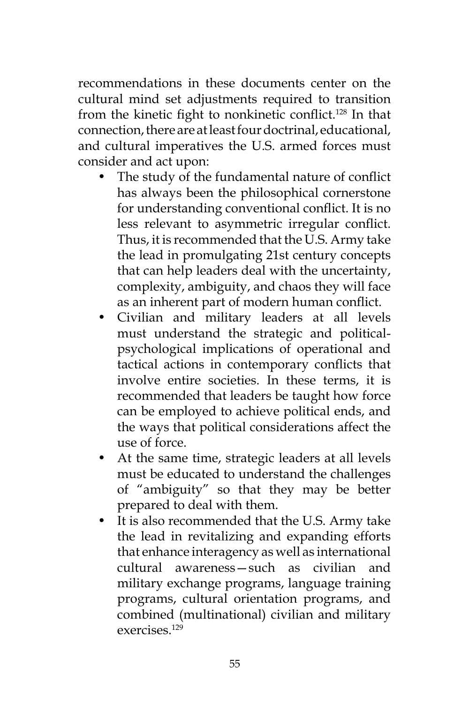recommendations in these documents center on the cultural mind set adjustments required to transition from the kinetic fight to nonkinetic conflict.<sup>128</sup> In that connection, there are at least four doctrinal, educational, and cultural imperatives the U.S. armed forces must consider and act upon:

- The study of the fundamental nature of conflict has always been the philosophical cornerstone for understanding conventional conflict. It is no less relevant to asymmetric irregular conflict. Thus, it is recommended that the U.S. Army take the lead in promulgating 21st century concepts that can help leaders deal with the uncertainty, complexity, ambiguity, and chaos they will face as an inherent part of modern human conflict.
- Civilian and military leaders at all levels must understand the strategic and politicalpsychological implications of operational and tactical actions in contemporary conflicts that involve entire societies. In these terms, it is recommended that leaders be taught how force can be employed to achieve political ends, and the ways that political considerations affect the use of force.
- At the same time, strategic leaders at all levels must be educated to understand the challenges of "ambiguity" so that they may be better prepared to deal with them.
- It is also recommended that the U.S. Army take the lead in revitalizing and expanding efforts that enhance interagency as well as international cultural awareness—such as civilian and military exchange programs, language training programs, cultural orientation programs, and combined (multinational) civilian and military exercises.129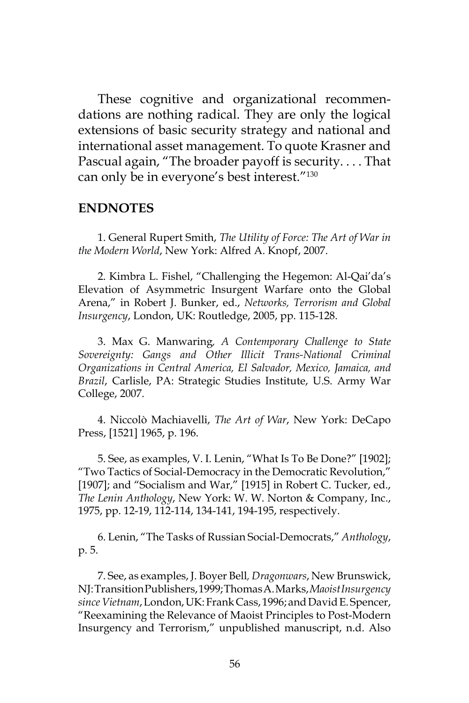These cognitive and organizational recommendations are nothing radical. They are only the logical extensions of basic security strategy and national and international asset management. To quote Krasner and Pascual again, "The broader payoff is security. . . . That can only be in everyone's best interest."130

#### **ENDNOTES**

1. General Rupert Smith, *The Utility of Force: The Art of War in the Modern World*, New York: Alfred A. Knopf, 2007.

2. Kimbra L. Fishel, "Challenging the Hegemon: Al-Qai'da's Elevation of Asymmetric Insurgent Warfare onto the Global Arena," in Robert J. Bunker, ed., *Networks, Terrorism and Global Insurgency*, London, UK: Routledge, 2005, pp. 115-128.

3. Max G. Manwaring*, A Contemporary Challenge to State Sovereignty: Gangs and Other Illicit Trans-National Criminal Organizations in Central America, El Salvador, Mexico, Jamaica, and Brazil*, Carlisle, PA: Strategic Studies Institute, U.S. Army War College, 2007.

4. Niccolò Machiavelli, *The Art of War*, New York: DeCapo Press, [1521] 1965, p. 196.

5. See, as examples, V. I. Lenin, "What Is To Be Done?" [1902]; "Two Tactics of Social-Democracy in the Democratic Revolution," [1907]; and "Socialism and War," [1915] in Robert C. Tucker, ed., *The Lenin Anthology*, New York: W. W. Norton & Company, Inc., 1975, pp. 12-19, 112-114, 134-141, 194-195, respectively.

6. Lenin, "The Tasks of Russian Social-Democrats," *Anthology*, p. 5.

7. See, as examples, J. Boyer Bell*, Dragonwars*, New Brunswick, NJ: Transition Publishers, 1999; Thomas A. Marks, *Maoist Insurgency since Vietnam*, London, UK: Frank Cass, 1996; and David E. Spencer, "Reexamining the Relevance of Maoist Principles to Post-Modern Insurgency and Terrorism," unpublished manuscript, n.d. Also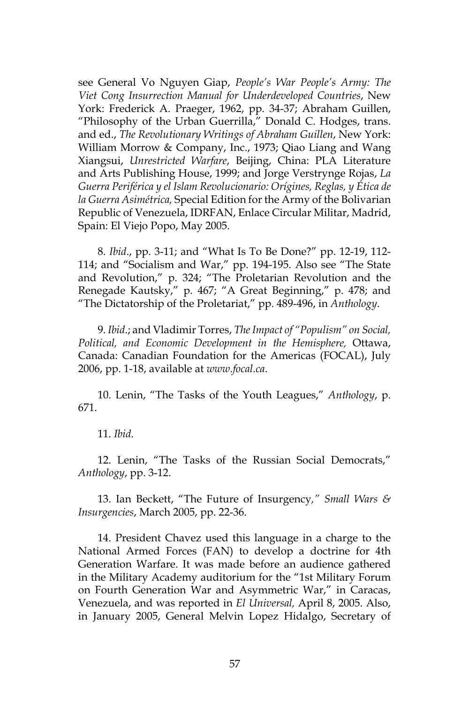see General Vo Nguyen Giap, *People's War People's Army: The Viet Cong Insurrection Manual for Underdeveloped Countries*, New York: Frederick A. Praeger, 1962, pp. 34-37; Abraham Guillen, "Philosophy of the Urban Guerrilla," Donald C. Hodges, trans. and ed., *The Revolutionary Writings of Abraham Guillen*, New York: William Morrow & Company, Inc., 1973; Qiao Liang and Wang Xiangsui, *Unrestricted Warfare*, Beijing, China: PLA Literature and Arts Publishing House, 1999; and Jorge Verstrynge Rojas, *La Guerra Periférica y el Islam Revolucionario: Orígines, Reglas, y Ética de la Guerra Asimétrica,* Special Edition for the Army of the Bolivarian Republic of Venezuela, IDRFAN, Enlace Circular Militar, Madrid, Spain: El Viejo Popo, May 2005.

8. *Ibid*., pp. 3-11; and "What Is To Be Done?" pp. 12-19, 112- 114; and "Socialism and War," pp. 194-195. Also see "The State and Revolution," p. 324; "The Proletarian Revolution and the Renegade Kautsky," p. 467; "A Great Beginning," p. 478; and "The Dictatorship of the Proletariat," pp. 489-496, in *Anthology*.

9. *Ibid*.; and Vladimir Torres, *The Impact of "Populism" on Social, Political, and Economic Development in the Hemisphere,* Ottawa, Canada: Canadian Foundation for the Americas (FOCAL), July 2006, pp. 1-18, available at *www.focal.ca*.

10. Lenin, "The Tasks of the Youth Leagues," *Anthology*, p. 671.

11. *Ibid*.

12. Lenin, "The Tasks of the Russian Social Democrats," *Anthology*, pp. 3-12.

13. Ian Beckett, "The Future of Insurgency*," Small Wars & Insurgencies*, March 2005, pp. 22-36.

14. President Chavez used this language in a charge to the National Armed Forces (FAN) to develop a doctrine for 4th Generation Warfare. It was made before an audience gathered in the Military Academy auditorium for the "1st Military Forum on Fourth Generation War and Asymmetric War," in Caracas, Venezuela, and was reported in *El Universal,* April 8, 2005. Also, in January 2005, General Melvin Lopez Hidalgo, Secretary of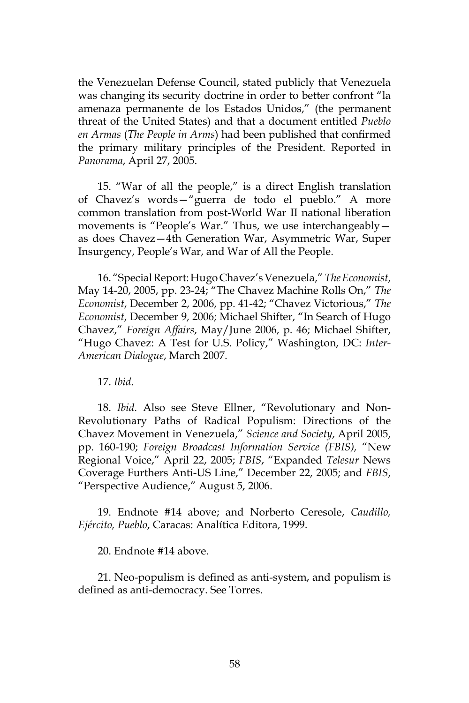the Venezuelan Defense Council, stated publicly that Venezuela was changing its security doctrine in order to better confront "la amenaza permanente de los Estados Unidos," (the permanent threat of the United States) and that a document entitled *Pueblo en Armas* (*The People in Arms*) had been published that confirmed the primary military principles of the President. Reported in *Panorama*, April 27, 2005.

15. "War of all the people," is a direct English translation of Chavez's words—"guerra de todo el pueblo." A more common translation from post-World War II national liberation movements is "People's War." Thus, we use interchangeably as does Chavez—4th Generation War, Asymmetric War, Super Insurgency, People's War, and War of All the People.

16. "Special Report: Hugo Chavez's Venezuela," *The Economist*, May 14-20, 2005, pp. 23-24; "The Chavez Machine Rolls On," *The Economist*, December 2, 2006, pp. 41-42; "Chavez Victorious," *The Economist*, December 9, 2006; Michael Shifter, "In Search of Hugo Chavez," *Foreign Affairs*, May/June 2006, p. 46; Michael Shifter, "Hugo Chavez: A Test for U.S. Policy," Washington, DC: *Inter-American Dialogue*, March 2007.

17. *Ibid*.

18. *Ibid*. Also see Steve Ellner, "Revolutionary and Non-Revolutionary Paths of Radical Populism: Directions of the Chavez Movement in Venezuela," *Science and Society*, April 2005, pp. 160-190; *Foreign Broadcast Information Service (FBIS),* "New Regional Voice," April 22, 2005; *FBIS*, "Expanded *Telesur* News Coverage Furthers Anti-US Line," December 22, 2005; and *FBIS*, "Perspective Audience," August 5, 2006.

19. Endnote #14 above; and Norberto Ceresole, *Caudillo, Ejército, Pueblo*, Caracas: Analítica Editora, 1999.

20. Endnote #14 above.

21. Neo-populism is defined as anti-system, and populism is defined as anti-democracy. See Torres.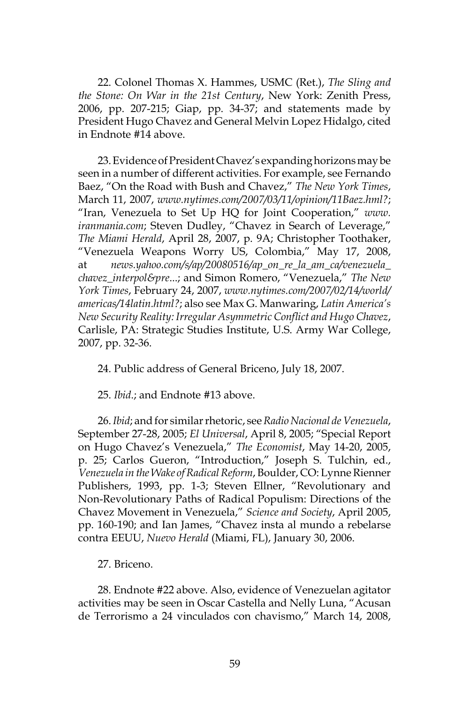22. Colonel Thomas X. Hammes, USMC (Ret.), *The Sling and the Stone: On War in the 21st Century*, New York: Zenith Press, 2006, pp. 207-215; Giap, pp. 34-37; and statements made by President Hugo Chavez and General Melvin Lopez Hidalgo, cited in Endnote #14 above.

23. Evidence of President Chavez's expanding horizons may be seen in a number of different activities. For example, see Fernando Baez, "On the Road with Bush and Chavez," *The New York Times*, March 11, 2007, *www.nytimes.com/2007/03/11/opinion/11Baez.hml?*; "Iran, Venezuela to Set Up HQ for Joint Cooperation," *www. iranmania.com*; Steven Dudley, "Chavez in Search of Leverage," *The Miami Herald*, April 28, 2007, p. 9A; Christopher Toothaker, "Venezuela Weapons Worry US, Colombia," May 17, 2008, at *news.yahoo.com/s/ap/20080516/ap\_on\_re\_la\_am\_ca/venezuela\_ chavez\_interpol&pre*...; and Simon Romero, "Venezuela," *The New York Times*, February 24, 2007, *www.nytimes.com/2007/02/14/world/ americas/14latin.html?*; also see Max G. Manwaring, *Latin America's New Security Reality: Irregular Asymmetric Conflict and Hugo Chavez*, Carlisle, PA: Strategic Studies Institute, U.S. Army War College, 2007, pp. 32-36.

24. Public address of General Briceno, July 18, 2007.

25. *Ibid*.; and Endnote #13 above.

26. *Ibid*; and for similar rhetoric, see *Radio Nacional de Venezuela*, September 27-28, 2005; *El Universal*, April 8, 2005; "Special Report on Hugo Chavez's Venezuela," *The Economist*, May 14-20, 2005, p. 25; Carlos Gueron, "Introduction," Joseph S. Tulchin, ed., *Venezuela in the Wake of Radical Reform*, Boulder, CO: Lynne Rienner Publishers, 1993, pp. 1-3; Steven Ellner, "Revolutionary and Non-Revolutionary Paths of Radical Populism: Directions of the Chavez Movement in Venezuela," *Science and Society*, April 2005, pp. 160-190; and Ian James, "Chavez insta al mundo a rebelarse contra EEUU, *Nuevo Herald* (Miami, FL), January 30, 2006.

27. Briceno.

28. Endnote #22 above. Also, evidence of Venezuelan agitator activities may be seen in Oscar Castella and Nelly Luna, "Acusan de Terrorismo a 24 vinculados con chavismo," March 14, 2008,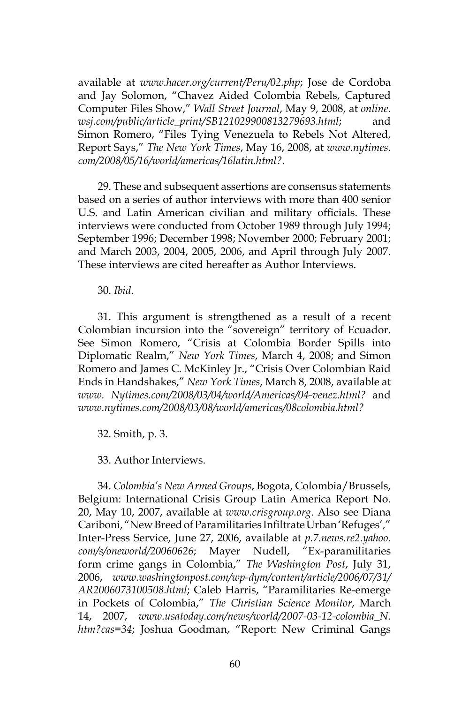available at *www.hacer.org/current/Peru/02.php*; Jose de Cordoba and Jay Solomon, "Chavez Aided Colombia Rebels, Captured Computer Files Show," *Wall Street Journal*, May 9, 2008, at *online. wsj.com/public/article\_print/SB121029900813279693.html*; and Simon Romero, "Files Tying Venezuela to Rebels Not Altered, Report Says," *The New York Times*, May 16, 2008, at *www.nytimes. com/2008/05/16/world/americas/16latin.html?*.

29. These and subsequent assertions are consensus statements based on a series of author interviews with more than 400 senior U.S. and Latin American civilian and military officials. These interviews were conducted from October 1989 through July 1994; September 1996; December 1998; November 2000; February 2001; and March 2003, 2004, 2005, 2006, and April through July 2007. These interviews are cited hereafter as Author Interviews.

30. *Ibid*.

31. This argument is strengthened as a result of a recent Colombian incursion into the "sovereign" territory of Ecuador. See Simon Romero, "Crisis at Colombia Border Spills into Diplomatic Realm," *New York Times*, March 4, 2008; and Simon Romero and James C. McKinley Jr., "Crisis Over Colombian Raid Ends in Handshakes," *New York Times*, March 8, 2008, available at *www. Nytimes.com/2008/03/04/world/Americas/04-venez.html?* and *www.nytimes.com/2008/03/08/world/americas/08colombia.html?*

32. Smith, p. 3.

33. Author Interviews.

34. *Colombia's New Armed Groups*, Bogota, Colombia/Brussels, Belgium: International Crisis Group Latin America Report No. 20, May 10, 2007, available at *www.crisgroup.org*. Also see Diana Cariboni, "New Breed of Paramilitaries Infiltrate Urban 'Refuges'," Inter-Press Service, June 27, 2006, available at *p.7.news.re2.yahoo. com/s/oneworld/20060626*; Mayer Nudell, "Ex-paramilitaries form crime gangs in Colombia," *The Washington Post*, July 31, 2006, *www.washingtonpost.com/wp-dym/content/article/2006/07/31/ AR2006073100508.html*; Caleb Harris, "Paramilitaries Re-emerge in Pockets of Colombia," *The Christian Science Monitor*, March 14, 2007, *www.usatoday.com/news/world/2007-03-12-colombia\_N. htm?cas=34*; Joshua Goodman, "Report: New Criminal Gangs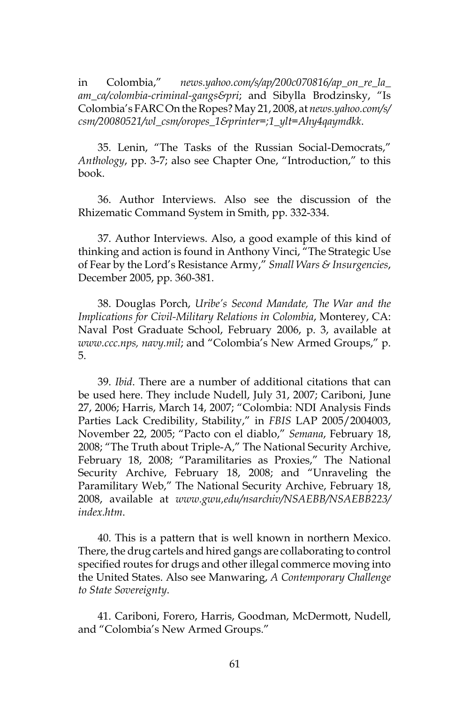in Colombia," *news.yahoo.com/s/ap/200c070816/ap\_on\_re\_la\_ am\_ca/colombia-criminal-gangs&pri*; and Sibylla Brodzinsky, "Is Colombia's FARC On the Ropes? May 21, 2008, at *news.yahoo.com/s/ csm/20080521/wl\_csm/oropes\_1&printer=;1\_ylt=Ahy4qaymdkk*.

35. Lenin, "The Tasks of the Russian Social-Democrats," *Anthology*, pp. 3-7; also see Chapter One, "Introduction," to this book.

36. Author Interviews. Also see the discussion of the Rhizematic Command System in Smith, pp. 332-334.

37. Author Interviews. Also, a good example of this kind of thinking and action is found in Anthony Vinci, "The Strategic Use of Fear by the Lord's Resistance Army," *Small Wars & Insurgencies*, December 2005, pp. 360-381.

38. Douglas Porch, *Uribe's Second Mandate, The War and the Implications for Civil-Military Relations in Colombia*, Monterey, CA: Naval Post Graduate School, February 2006, p. 3, available at *www.ccc.nps, navy.mil*; and "Colombia's New Armed Groups," p. 5.

39. *Ibid*. There are a number of additional citations that can be used here. They include Nudell, July 31, 2007; Cariboni, June 27, 2006; Harris, March 14, 2007; "Colombia: NDI Analysis Finds Parties Lack Credibility, Stability," in *FBIS* LAP 2005/2004003, November 22, 2005; "Pacto con el diablo," *Semana*, February 18, 2008; "The Truth about Triple-A," The National Security Archive, February 18, 2008; "Paramilitaries as Proxies," The National Security Archive, February 18, 2008; and "Unraveling the Paramilitary Web," The National Security Archive, February 18, 2008, available at *www.gwu,edu/nsarchiv/NSAEBB/NSAEBB223/ index.htm*.

40. This is a pattern that is well known in northern Mexico. There, the drug cartels and hired gangs are collaborating to control specified routes for drugs and other illegal commerce moving into the United States. Also see Manwaring, *A Contemporary Challenge to State Sovereignty*.

41. Cariboni, Forero, Harris, Goodman, McDermott, Nudell, and "Colombia's New Armed Groups."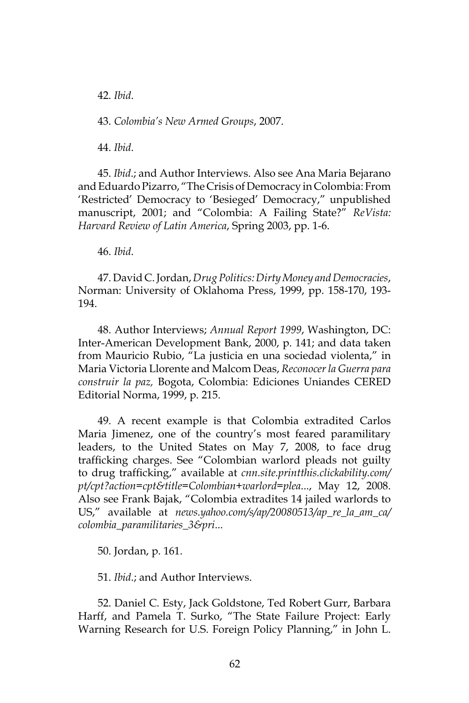42. *Ibid*.

43. *Colombia's New Armed Groups*, 2007.

44. *Ibid*.

45. *Ibid*.; and Author Interviews. Also see Ana Maria Bejarano and Eduardo Pizarro, "The Crisis of Democracy in Colombia: From 'Restricted' Democracy to 'Besieged' Democracy," unpublished manuscript, 2001; and "Colombia: A Failing State?" *ReVista: Harvard Review of Latin America*, Spring 2003, pp. 1-6.

46. *Ibid*.

47. David C. Jordan, *Drug Politics: Dirty Money and Democracies*, Norman: University of Oklahoma Press, 1999, pp. 158-170, 193- 194.

48. Author Interviews; *Annual Report 1999*, Washington, DC: Inter-American Development Bank, 2000, p. 141; and data taken from Mauricio Rubio, "La justicia en una sociedad violenta," in Maria Victoria Llorente and Malcom Deas, *Reconocer la Guerra para construir la paz,* Bogota, Colombia: Ediciones Uniandes CERED Editorial Norma, 1999, p. 215.

49. A recent example is that Colombia extradited Carlos Maria Jimenez, one of the country's most feared paramilitary leaders, to the United States on May 7, 2008, to face drug trafficking charges. See "Colombian warlord pleads not guilty to drug trafficking," available at *cnn.site.printthis.clickability.com/ pt/cpt?action=cpt&title=Colombian+warlord=plea*..., May 12, 2008. Also see Frank Bajak, "Colombia extradites 14 jailed warlords to US," available at *news.yahoo.com/s/ap/20080513/ap\_re\_la\_am\_ca/ colombia\_paramilitaries\_3&pri*...

50. Jordan, p. 161.

51. *Ibid*.; and Author Interviews.

52. Daniel C. Esty, Jack Goldstone, Ted Robert Gurr, Barbara Harff, and Pamela T. Surko, "The State Failure Project: Early Warning Research for U.S. Foreign Policy Planning," in John L.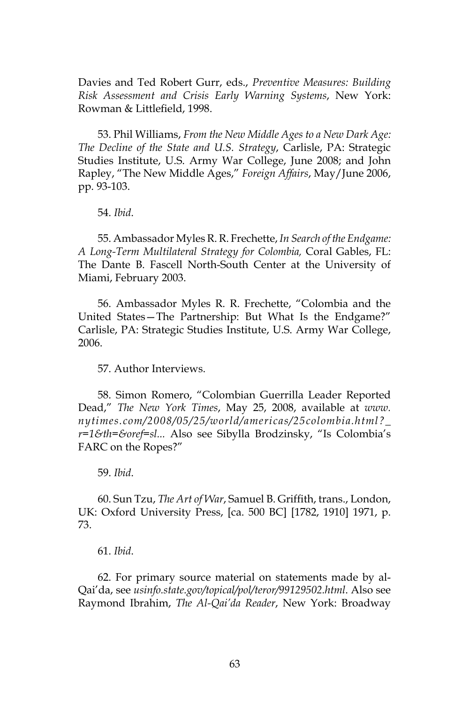Davies and Ted Robert Gurr, eds., *Preventive Measures: Building Risk Assessment and Crisis Early Warning Systems*, New York: Rowman & Littlefield, 1998.

53. Phil Williams, *From the New Middle Ages to a New Dark Age: The Decline of the State and U.S. Strategy*, Carlisle, PA: Strategic Studies Institute, U.S. Army War College, June 2008; and John Rapley, "The New Middle Ages," *Foreign Affairs*, May/June 2006, pp. 93-103.

54. *Ibid*.

55. Ambassador Myles R. R. Frechette, *In Search of the Endgame: A Long-Term Multilateral Strategy for Colombia,* Coral Gables, FL: The Dante B. Fascell North-South Center at the University of Miami, February 2003.

56. Ambassador Myles R. R. Frechette, "Colombia and the United States—The Partnership: But What Is the Endgame?" Carlisle, PA: Strategic Studies Institute, U.S. Army War College, 2006.

57. Author Interviews.

58. Simon Romero, "Colombian Guerrilla Leader Reported Dead," *The New York Times*, May 25, 2008, available at *www. nytimes.com/2008/05/25/world/americas/25colombia.html?\_ r=1&th=&oref=sl...* Also see Sibylla Brodzinsky, "Is Colombia's FARC on the Ropes?"

59. *Ibid*.

60. Sun Tzu, *The Art of War*, Samuel B. Griffith, trans., London, UK: Oxford University Press, [ca. 500 BC] [1782, 1910] 1971, p. 73.

61. *Ibid*.

62. For primary source material on statements made by al-Qai'da, see *usinfo.state.gov/topical/pol/teror/99129502.html*. Also see Raymond Ibrahim, *The Al-Qai'da Reader*, New York: Broadway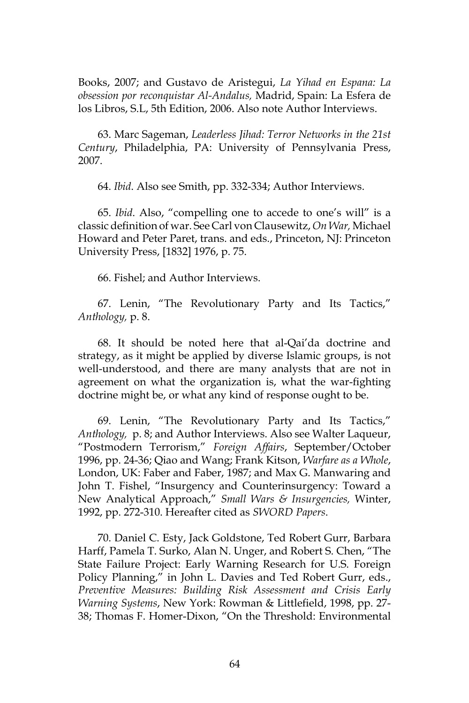Books, 2007; and Gustavo de Aristegui, *La Yihad en Espana: La obsession por reconquistar Al-Andalus,* Madrid, Spain: La Esfera de los Libros, S.L, 5th Edition, 2006. Also note Author Interviews.

63. Marc Sageman, *Leaderless Jihad: Terror Networks in the 21st Century*, Philadelphia, PA: University of Pennsylvania Press, 2007.

64. *Ibid*. Also see Smith, pp. 332-334; Author Interviews.

65. *Ibid*. Also, "compelling one to accede to one's will" is a classic definition of war. See Carl von Clausewitz, *On War,* Michael Howard and Peter Paret, trans. and eds., Princeton, NJ: Princeton University Press, [1832] 1976, p. 75.

66. Fishel; and Author Interviews.

67. Lenin, "The Revolutionary Party and Its Tactics," *Anthology,* p. 8.

68. It should be noted here that al-Qai'da doctrine and strategy, as it might be applied by diverse Islamic groups, is not well-understood, and there are many analysts that are not in agreement on what the organization is, what the war-fighting doctrine might be, or what any kind of response ought to be.

69. Lenin, "The Revolutionary Party and Its Tactics," *Anthology,* p. 8; and Author Interviews. Also see Walter Laqueur, "Postmodern Terrorism," *Foreign Affairs*, September/October 1996, pp. 24-36; Qiao and Wang; Frank Kitson, *Warfare as a Whole*, London, UK: Faber and Faber, 1987; and Max G. Manwaring and John T. Fishel, "Insurgency and Counterinsurgency: Toward a New Analytical Approach," *Small Wars & Insurgencies,* Winter, 1992, pp. 272-310. Hereafter cited as *SWORD Papers*.

70. Daniel C. Esty, Jack Goldstone, Ted Robert Gurr, Barbara Harff, Pamela T. Surko, Alan N. Unger, and Robert S. Chen, "The State Failure Project: Early Warning Research for U.S. Foreign Policy Planning," in John L. Davies and Ted Robert Gurr, eds., *Preventive Measures: Building Risk Assessment and Crisis Early Warning Systems*, New York: Rowman & Littlefield, 1998, pp. 27- 38; Thomas F. Homer-Dixon, "On the Threshold: Environmental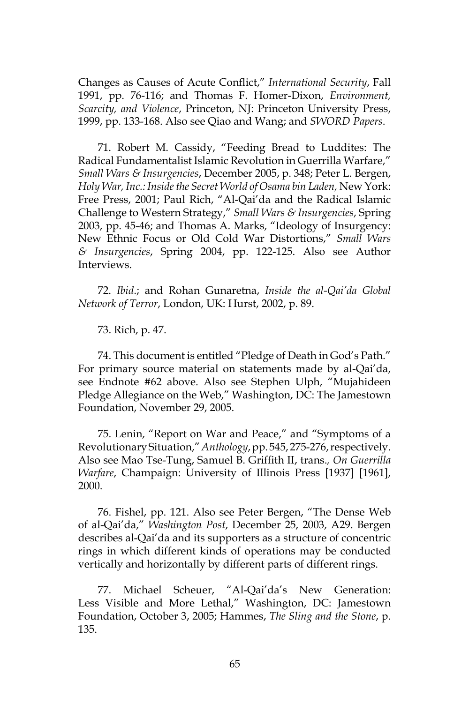Changes as Causes of Acute Conflict," *International Security*, Fall 1991, pp. 76-116; and Thomas F. Homer-Dixon, *Environment, Scarcity, and Violence*, Princeton, NJ: Princeton University Press, 1999, pp. 133-168. Also see Qiao and Wang; and *SWORD Papers*.

71. Robert M. Cassidy, "Feeding Bread to Luddites: The Radical Fundamentalist Islamic Revolution in Guerrilla Warfare," *Small Wars & Insurgencies*, December 2005, p. 348; Peter L. Bergen, *Holy War, Inc.: Inside the Secret World of Osama bin Laden,* New York: Free Press, 2001; Paul Rich, "Al-Qai'da and the Radical Islamic Challenge to Western Strategy," *Small Wars & Insurgencies*, Spring 2003, pp. 45-46; and Thomas A. Marks, "Ideology of Insurgency: New Ethnic Focus or Old Cold War Distortions," *Small Wars & Insurgencies*, Spring 2004, pp. 122-125. Also see Author Interviews.

72. *Ibid*.; and Rohan Gunaretna, *Inside the al-Qai'da Global Network of Terror*, London, UK: Hurst, 2002, p. 89.

73. Rich, p. 47.

74. This document is entitled "Pledge of Death in God's Path." For primary source material on statements made by al-Qai'da, see Endnote #62 above. Also see Stephen Ulph, "Mujahideen Pledge Allegiance on the Web," Washington, DC: The Jamestown Foundation, November 29, 2005.

75. Lenin, "Report on War and Peace," and "Symptoms of a Revolutionary Situation," *Anthology*, pp. 545, 275-276, respectively. Also see Mao Tse-Tung, Samuel B. Griffith II, trans.*, On Guerrilla Warfare*, Champaign: University of Illinois Press [1937] [1961], 2000.

76. Fishel, pp. 121. Also see Peter Bergen, "The Dense Web of al-Qai'da," *Washington Post*, December 25, 2003, A29. Bergen describes al-Qai'da and its supporters as a structure of concentric rings in which different kinds of operations may be conducted vertically and horizontally by different parts of different rings.

77. Michael Scheuer, "Al-Qai'da's New Generation: Less Visible and More Lethal," Washington, DC: Jamestown Foundation, October 3, 2005; Hammes, *The Sling and the Stone*, p. 135.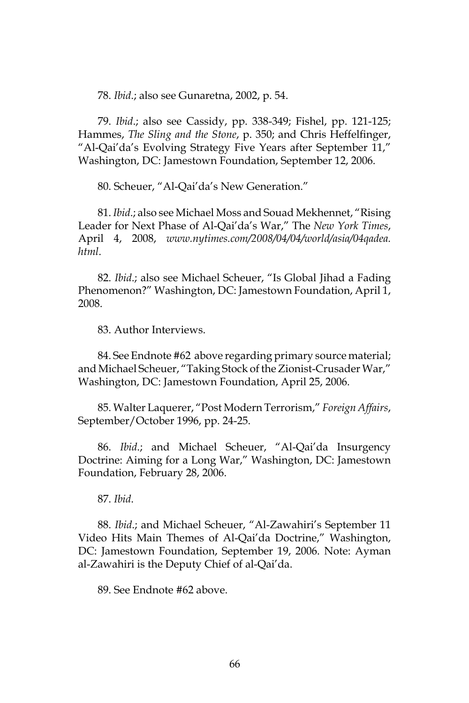78. *Ibid*.; also see Gunaretna, 2002, p. 54.

79. *Ibid*.; also see Cassidy, pp. 338-349; Fishel, pp. 121-125; Hammes, *The Sling and the Stone*, p. 350; and Chris Heffelfinger, "Al-Qai'da's Evolving Strategy Five Years after September 11," Washington, DC: Jamestown Foundation, September 12, 2006.

80. Scheuer, "Al-Qai'da's New Generation."

81. *Ibid*.; also see Michael Moss and Souad Mekhennet, "Rising Leader for Next Phase of Al-Qai'da's War," The *New York Times*, April 4, 2008, *www.nytimes.com/2008/04/04/world/asia/04qadea. html*.

82. *Ibid*.; also see Michael Scheuer, "Is Global Jihad a Fading Phenomenon?" Washington, DC: Jamestown Foundation, April 1, 2008.

83. Author Interviews.

84. See Endnote #62 above regarding primary source material; and Michael Scheuer, "Taking Stock of the Zionist-Crusader War," Washington, DC: Jamestown Foundation, April 25, 2006.

85. Walter Laquerer, "Post Modern Terrorism," *Foreign Affairs*, September/October 1996, pp. 24-25.

86. *Ibid*.; and Michael Scheuer, "Al-Qai'da Insurgency Doctrine: Aiming for a Long War," Washington, DC: Jamestown Foundation, February 28, 2006.

87. *Ibid*.

88. *Ibid*.; and Michael Scheuer, "Al-Zawahiri's September 11 Video Hits Main Themes of Al-Qai'da Doctrine," Washington, DC: Jamestown Foundation, September 19, 2006. Note: Ayman al-Zawahiri is the Deputy Chief of al-Qai'da.

89. See Endnote #62 above.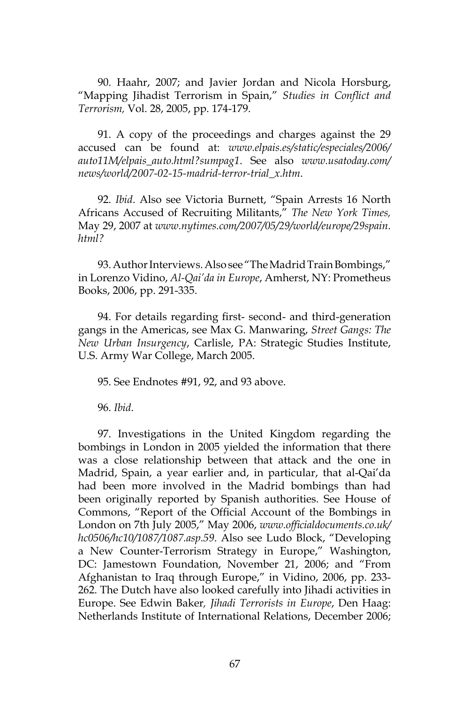90. Haahr, 2007; and Javier Jordan and Nicola Horsburg, "Mapping Jihadist Terrorism in Spain," *Studies in Conflict and Terrorism,* Vol. 28, 2005, pp. 174-179.

91. A copy of the proceedings and charges against the 29 accused can be found at: *www.elpais.es/static/especiales/2006/ auto11M/elpais\_auto.html?sumpag1*. See also *www.usatoday.com/ news/world/2007-02-15-madrid-terror-trial\_x.htm*.

92. *Ibid*. Also see Victoria Burnett, "Spain Arrests 16 North Africans Accused of Recruiting Militants," *The New York Times,* May 29, 2007 at *www.nytimes.com/2007/05/29/world/europe/29spain. html?*

93. Author Interviews. Also see "The Madrid Train Bombings," in Lorenzo Vidino, *Al-Qai'da in Europe*, Amherst, NY: Prometheus Books, 2006, pp. 291-335.

94. For details regarding first- second- and third-generation gangs in the Americas, see Max G. Manwaring, *Street Gangs: The New Urban Insurgency*, Carlisle, PA: Strategic Studies Institute, U.S. Army War College, March 2005.

95. See Endnotes #91, 92, and 93 above.

96. *Ibid*.

97. Investigations in the United Kingdom regarding the bombings in London in 2005 yielded the information that there was a close relationship between that attack and the one in Madrid, Spain, a year earlier and, in particular, that al-Qai'da had been more involved in the Madrid bombings than had been originally reported by Spanish authorities. See House of Commons, "Report of the Official Account of the Bombings in London on 7th July 2005," May 2006, *www.officialdocuments.co.uk/ hc0506/hc10/1087/1087.asp.59*. Also see Ludo Block, "Developing a New Counter-Terrorism Strategy in Europe," Washington, DC: Jamestown Foundation, November 21, 2006; and "From Afghanistan to Iraq through Europe," in Vidino, 2006, pp. 233- 262. The Dutch have also looked carefully into Jihadi activities in Europe. See Edwin Baker*, Jihadi Terrorists in Europe*, Den Haag: Netherlands Institute of International Relations, December 2006;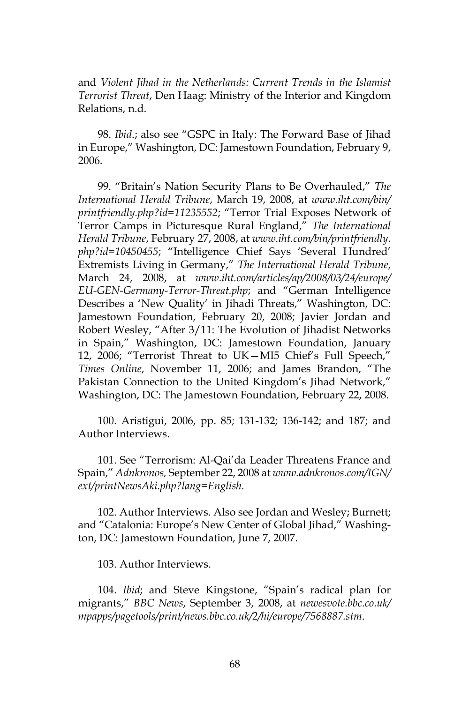and *Violent Jihad in the Netherlands: Current Trends in the Islamist Terrorist Threat*, Den Haag: Ministry of the Interior and Kingdom Relations, n.d.

98. *Ibid*.; also see "GSPC in Italy: The Forward Base of Jihad in Europe," Washington, DC: Jamestown Foundation, February 9, 2006.

99. "Britain's Nation Security Plans to Be Overhauled," *The International Herald Tribune*, March 19, 2008, at *www.iht.com/bin/ printfriendly.php?id=11235552*; "Terror Trial Exposes Network of Terror Camps in Picturesque Rural England," *The International Herald Tribune*, February 27, 2008, at *www.iht.com/bin/printfriendly. php?id=10450455*; "Intelligence Chief Says 'Several Hundred' Extremists Living in Germany," *The International Herald Tribune*, March 24, 2008, at *www.iht.com/articles/ap/2008/03/24/europe/ EU-GEN-Germany-Terror-Threat.php*; and "German Intelligence Describes a 'New Quality' in Jihadi Threats," Washington, DC: Jamestown Foundation, February 20, 2008; Javier Jordan and Robert Wesley, "After 3/11: The Evolution of Jihadist Networks in Spain," Washington, DC: Jamestown Foundation, January 12, 2006; "Terrorist Threat to UK—MI5 Chief's Full Speech," *Times Online*, November 11, 2006; and James Brandon, "The Pakistan Connection to the United Kingdom's Jihad Network," Washington, DC: The Jamestown Foundation, February 22, 2008.

100. Aristigui, 2006, pp. 85; 131-132; 136-142; and 187; and Author Interviews.

101. See "Terrorism: Al-Qai'da Leader Threatens France and Spain," *Adnkronos,* September 22, 2008 at *www.adnkronos.com/IGN/ ext/printNewsAki.php?lang=English*.

102. Author Interviews. Also see Jordan and Wesley; Burnett; and "Catalonia: Europe's New Center of Global Jihad," Washington, DC: Jamestown Foundation, June 7, 2007.

103. Author Interviews.

104. *Ibid*; and Steve Kingstone, "Spain's radical plan for migrants," *BBC News*, September 3, 2008, at *newesvote.bbc.co.uk/ mpapps/pagetools/print/news.bbc.co.uk/2/hi/europe/7568887.stm*.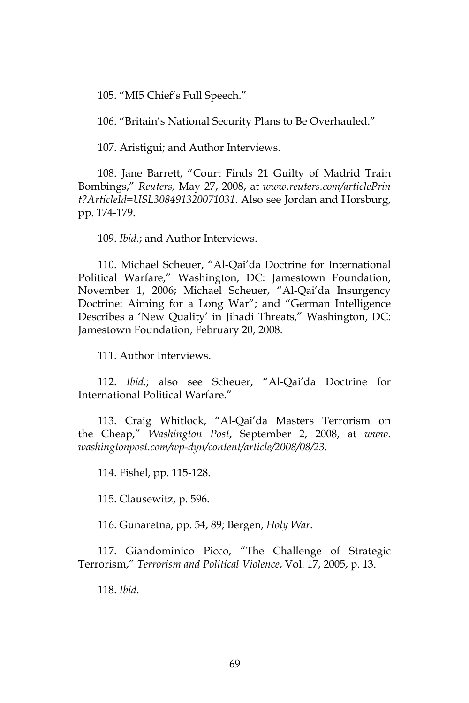105. "MI5 Chief's Full Speech."

106. "Britain's National Security Plans to Be Overhauled."

107. Aristigui; and Author Interviews.

108. Jane Barrett, "Court Finds 21 Guilty of Madrid Train Bombings," *Reuters,* May 27, 2008, at *www.reuters.com/articlePrin t?ArticleId=USL308491320071031*. Also see Jordan and Horsburg, pp. 174-179.

109. *Ibid*.; and Author Interviews.

110. Michael Scheuer, "Al-Qai'da Doctrine for International Political Warfare," Washington, DC: Jamestown Foundation, November 1, 2006; Michael Scheuer, "Al-Qai'da Insurgency Doctrine: Aiming for a Long War"; and "German Intelligence Describes a 'New Quality' in Jihadi Threats," Washington, DC: Jamestown Foundation, February 20, 2008.

111. Author Interviews.

112. *Ibid*.; also see Scheuer, "Al-Qai'da Doctrine for International Political Warfare."

113. Craig Whitlock, "Al-Qai'da Masters Terrorism on the Cheap," *Washington Post*, September 2, 2008, at *www. washingtonpost.com/wp-dyn/content/article/2008/08/23*.

114. Fishel, pp. 115-128.

115. Clausewitz, p. 596.

116. Gunaretna, pp. 54, 89; Bergen, *Holy War*.

117. Giandominico Picco, "The Challenge of Strategic Terrorism," *Terrorism and Political Violence*, Vol. 17, 2005, p. 13.

118. *Ibid*.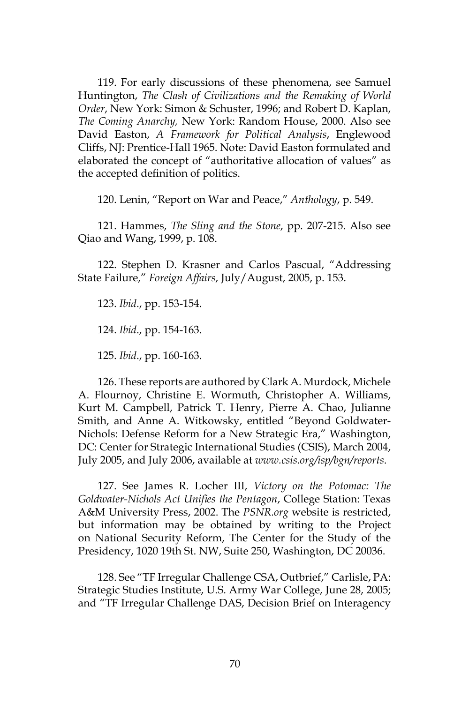119. For early discussions of these phenomena, see Samuel Huntington, *The Clash of Civilizations and the Remaking of World Order*, New York: Simon & Schuster, 1996; and Robert D. Kaplan, *The Coming Anarchy,* New York: Random House, 2000. Also see David Easton, *A Framework for Political Analysis*, Englewood Cliffs, NJ: Prentice-Hall 1965. Note: David Easton formulated and elaborated the concept of "authoritative allocation of values" as the accepted definition of politics.

120. Lenin, "Report on War and Peace," *Anthology*, p. 549.

121. Hammes, *The Sling and the Stone*, pp. 207-215. Also see Qiao and Wang, 1999, p. 108.

122. Stephen D. Krasner and Carlos Pascual, "Addressing State Failure," *Foreign Affairs*, July/August, 2005, p. 153.

123. *Ibid*., pp. 153-154.

124. *Ibid*., pp. 154-163.

125. *Ibid*., pp. 160-163.

126. These reports are authored by Clark A. Murdock, Michele A. Flournoy, Christine E. Wormuth, Christopher A. Williams, Kurt M. Campbell, Patrick T. Henry, Pierre A. Chao, Julianne Smith, and Anne A. Witkowsky, entitled "Beyond Goldwater-Nichols: Defense Reform for a New Strategic Era," Washington, DC: Center for Strategic International Studies (CSIS), March 2004, July 2005, and July 2006, available at *www.csis.org/isp/bgn/reports*.

127. See James R. Locher III, *Victory on the Potomac: The Goldwater-Nichols Act Unifies the Pentagon*, College Station: Texas A&M University Press, 2002. The *PSNR.org* website is restricted, but information may be obtained by writing to the Project on National Security Reform, The Center for the Study of the Presidency, 1020 19th St. NW, Suite 250, Washington, DC 20036.

128. See "TF Irregular Challenge CSA, Outbrief," Carlisle, PA: Strategic Studies Institute, U.S. Army War College, June 28, 2005; and "TF Irregular Challenge DAS, Decision Brief on Interagency